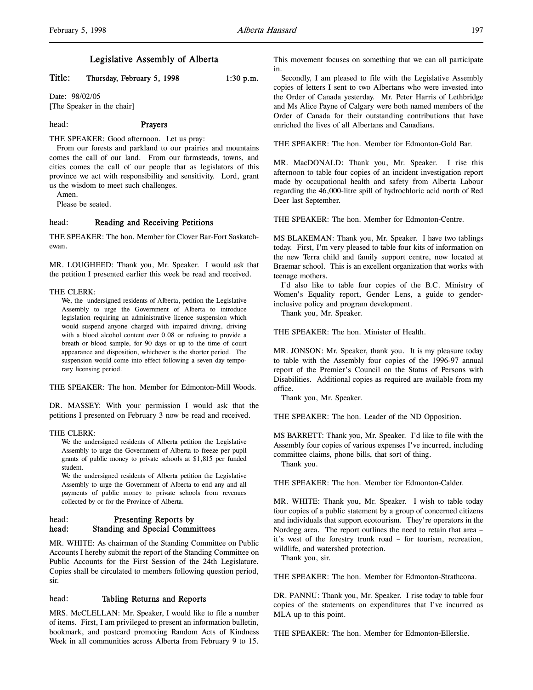# Title: Thursday, February 5, 1998 1:30 p.m.

Date: 98/02/05 [The Speaker in the chair]

# head: Prayers

THE SPEAKER: Good afternoon. Let us pray:

From our forests and parkland to our prairies and mountains comes the call of our land. From our farmsteads, towns, and cities comes the call of our people that as legislators of this province we act with responsibility and sensitivity. Lord, grant us the wisdom to meet such challenges.

Amen.

Please be seated.

#### head: Reading and Receiving Petitions

THE SPEAKER: The hon. Member for Clover Bar-Fort Saskatchewan.

MR. LOUGHEED: Thank you, Mr. Speaker. I would ask that the petition I presented earlier this week be read and received.

#### THE CLERK:

We, the undersigned residents of Alberta, petition the Legislative Assembly to urge the Government of Alberta to introduce legislation requiring an administrative licence suspension which would suspend anyone charged with impaired driving, driving with a blood alcohol content over 0.08 or refusing to provide a breath or blood sample, for 90 days or up to the time of court appearance and disposition, whichever is the shorter period. The suspension would come into effect following a seven day temporary licensing period.

THE SPEAKER: The hon. Member for Edmonton-Mill Woods.

DR. MASSEY: With your permission I would ask that the petitions I presented on February 3 now be read and received.

#### THE CLERK:

We the undersigned residents of Alberta petition the Legislative Assembly to urge the Government of Alberta to freeze per pupil grants of public money to private schools at \$1,815 per funded student.

We the undersigned residents of Alberta petition the Legislative Assembly to urge the Government of Alberta to end any and all payments of public money to private schools from revenues collected by or for the Province of Alberta.

## head: Presenting Reports by head: Standing and Special Committees

MR. WHITE: As chairman of the Standing Committee on Public Accounts I hereby submit the report of the Standing Committee on Public Accounts for the First Session of the 24th Legislature. Copies shall be circulated to members following question period, sir.

# head: Tabling Returns and Reports

MRS. McCLELLAN: Mr. Speaker, I would like to file a number of items. First, I am privileged to present an information bulletin, bookmark, and postcard promoting Random Acts of Kindness Week in all communities across Alberta from February 9 to 15.

This movement focuses on something that we can all participate in.

Secondly, I am pleased to file with the Legislative Assembly copies of letters I sent to two Albertans who were invested into the Order of Canada yesterday. Mr. Peter Harris of Lethbridge and Ms Alice Payne of Calgary were both named members of the Order of Canada for their outstanding contributions that have enriched the lives of all Albertans and Canadians.

THE SPEAKER: The hon. Member for Edmonton-Gold Bar.

MR. MacDONALD: Thank you, Mr. Speaker. I rise this afternoon to table four copies of an incident investigation report made by occupational health and safety from Alberta Labour regarding the 46,000-litre spill of hydrochloric acid north of Red Deer last September.

THE SPEAKER: The hon. Member for Edmonton-Centre.

MS BLAKEMAN: Thank you, Mr. Speaker. I have two tablings today. First, I'm very pleased to table four kits of information on the new Terra child and family support centre, now located at Braemar school. This is an excellent organization that works with teenage mothers.

I'd also like to table four copies of the B.C. Ministry of Women's Equality report, Gender Lens, a guide to genderinclusive policy and program development.

Thank you, Mr. Speaker.

THE SPEAKER: The hon. Minister of Health.

MR. JONSON: Mr. Speaker, thank you. It is my pleasure today to table with the Assembly four copies of the 1996-97 annual report of the Premier's Council on the Status of Persons with Disabilities. Additional copies as required are available from my office.

Thank you, Mr. Speaker.

THE SPEAKER: The hon. Leader of the ND Opposition.

MS BARRETT: Thank you, Mr. Speaker. I'd like to file with the Assembly four copies of various expenses I've incurred, including committee claims, phone bills, that sort of thing.

Thank you.

THE SPEAKER: The hon. Member for Edmonton-Calder.

MR. WHITE: Thank you, Mr. Speaker. I wish to table today four copies of a public statement by a group of concerned citizens and individuals that support ecotourism. They're operators in the Nordegg area. The report outlines the need to retain that area – it's west of the forestry trunk road – for tourism, recreation, wildlife, and watershed protection.

Thank you, sir.

THE SPEAKER: The hon. Member for Edmonton-Strathcona.

DR. PANNU: Thank you, Mr. Speaker. I rise today to table four copies of the statements on expenditures that I've incurred as MLA up to this point.

THE SPEAKER: The hon. Member for Edmonton-Ellerslie.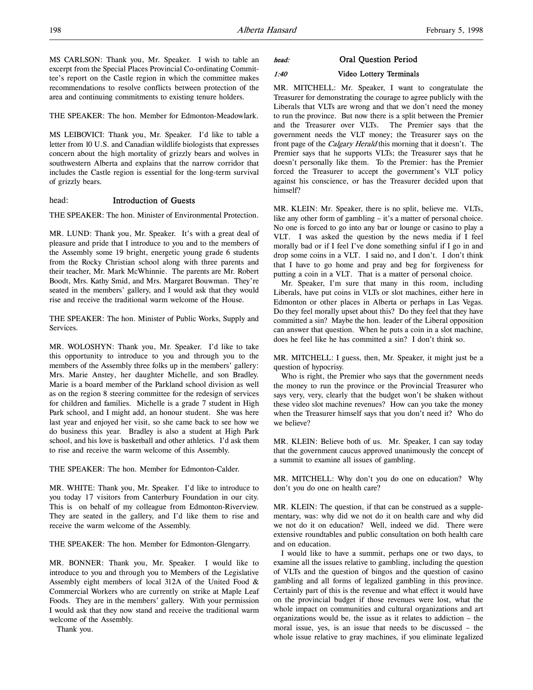MS CARLSON: Thank you, Mr. Speaker. I wish to table an excerpt from the Special Places Provincial Co-ordinating Committee's report on the Castle region in which the committee makes recommendations to resolve conflicts between protection of the area and continuing commitments to existing tenure holders.

THE SPEAKER: The hon. Member for Edmonton-Meadowlark.

MS LEIBOVICI: Thank you, Mr. Speaker. I'd like to table a letter from 10 U.S. and Canadian wildlife biologists that expresses concern about the high mortality of grizzly bears and wolves in southwestern Alberta and explains that the narrow corridor that includes the Castle region is essential for the long-term survival of grizzly bears.

# head: Introduction of Guests

THE SPEAKER: The hon. Minister of Environmental Protection.

MR. LUND: Thank you, Mr. Speaker. It's with a great deal of pleasure and pride that I introduce to you and to the members of the Assembly some 19 bright, energetic young grade 6 students from the Rocky Christian school along with three parents and their teacher, Mr. Mark McWhinnie. The parents are Mr. Robert Boodt, Mrs. Kathy Smid, and Mrs. Margaret Bouwman. They're seated in the members' gallery, and I would ask that they would rise and receive the traditional warm welcome of the House.

THE SPEAKER: The hon. Minister of Public Works, Supply and Services.

MR. WOLOSHYN: Thank you, Mr. Speaker. I'd like to take this opportunity to introduce to you and through you to the members of the Assembly three folks up in the members' gallery: Mrs. Marie Anstey, her daughter Michelle, and son Bradley. Marie is a board member of the Parkland school division as well as on the region 8 steering committee for the redesign of services for children and families. Michelle is a grade 7 student in High Park school, and I might add, an honour student. She was here last year and enjoyed her visit, so she came back to see how we do business this year. Bradley is also a student at High Park school, and his love is basketball and other athletics. I'd ask them to rise and receive the warm welcome of this Assembly.

THE SPEAKER: The hon. Member for Edmonton-Calder.

MR. WHITE: Thank you, Mr. Speaker. I'd like to introduce to you today 17 visitors from Canterbury Foundation in our city. This is on behalf of my colleague from Edmonton-Riverview. They are seated in the gallery, and I'd like them to rise and receive the warm welcome of the Assembly.

THE SPEAKER: The hon. Member for Edmonton-Glengarry.

MR. BONNER: Thank you, Mr. Speaker. I would like to introduce to you and through you to Members of the Legislative Assembly eight members of local 312A of the United Food & Commercial Workers who are currently on strike at Maple Leaf Foods. They are in the members' gallery. With your permission I would ask that they now stand and receive the traditional warm welcome of the Assembly.

Thank you.

## head: Oral Question Period

# 1:40 Video Lottery Terminals

MR. MITCHELL: Mr. Speaker, I want to congratulate the Treasurer for demonstrating the courage to agree publicly with the Liberals that VLTs are wrong and that we don't need the money to run the province. But now there is a split between the Premier and the Treasurer over VLTs. The Premier says that the government needs the VLT money; the Treasurer says on the front page of the Calgary Herald this morning that it doesn't. The Premier says that he supports VLTs; the Treasurer says that he doesn't personally like them. To the Premier: has the Premier forced the Treasurer to accept the government's VLT policy against his conscience, or has the Treasurer decided upon that himself?

MR. KLEIN: Mr. Speaker, there is no split, believe me. VLTs, like any other form of gambling – it's a matter of personal choice. No one is forced to go into any bar or lounge or casino to play a VLT. I was asked the question by the news media if I feel morally bad or if I feel I've done something sinful if I go in and drop some coins in a VLT. I said no, and I don't. I don't think that I have to go home and pray and beg for forgiveness for putting a coin in a VLT. That is a matter of personal choice.

Mr. Speaker, I'm sure that many in this room, including Liberals, have put coins in VLTs or slot machines, either here in Edmonton or other places in Alberta or perhaps in Las Vegas. Do they feel morally upset about this? Do they feel that they have committed a sin? Maybe the hon. leader of the Liberal opposition can answer that question. When he puts a coin in a slot machine, does he feel like he has committed a sin? I don't think so.

MR. MITCHELL: I guess, then, Mr. Speaker, it might just be a question of hypocrisy.

Who is right, the Premier who says that the government needs the money to run the province or the Provincial Treasurer who says very, very, clearly that the budget won't be shaken without these video slot machine revenues? How can you take the money when the Treasurer himself says that you don't need it? Who do we believe?

MR. KLEIN: Believe both of us. Mr. Speaker, I can say today that the government caucus approved unanimously the concept of a summit to examine all issues of gambling.

MR. MITCHELL: Why don't you do one on education? Why don't you do one on health care?

MR. KLEIN: The question, if that can be construed as a supplementary, was: why did we not do it on health care and why did we not do it on education? Well, indeed we did. There were extensive roundtables and public consultation on both health care and on education.

I would like to have a summit, perhaps one or two days, to examine all the issues relative to gambling, including the question of VLTs and the question of bingos and the question of casino gambling and all forms of legalized gambling in this province. Certainly part of this is the revenue and what effect it would have on the provincial budget if those revenues were lost, what the whole impact on communities and cultural organizations and art organizations would be, the issue as it relates to addiction – the moral issue, yes, is an issue that needs to be discussed – the whole issue relative to gray machines, if you eliminate legalized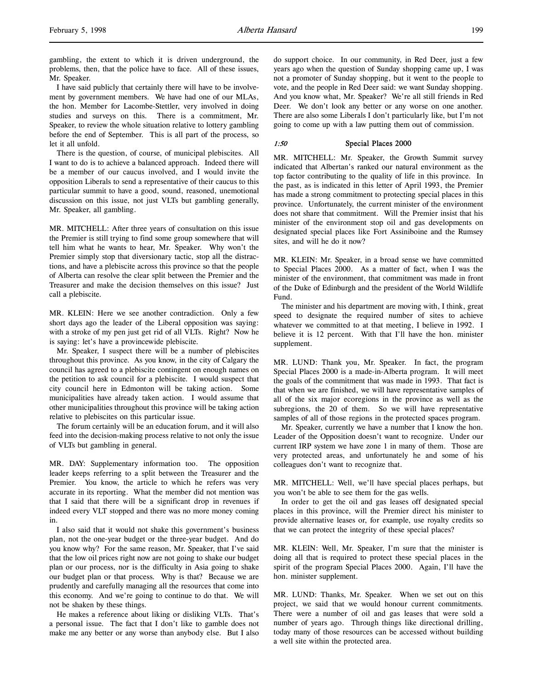I have said publicly that certainly there will have to be involvement by government members. We have had one of our MLAs, the hon. Member for Lacombe-Stettler, very involved in doing studies and surveys on this. There is a commitment, Mr. Speaker, to review the whole situation relative to lottery gambling before the end of September. This is all part of the process, so let it all unfold.

There is the question, of course, of municipal plebiscites. All I want to do is to achieve a balanced approach. Indeed there will be a member of our caucus involved, and I would invite the opposition Liberals to send a representative of their caucus to this particular summit to have a good, sound, reasoned, unemotional discussion on this issue, not just VLTs but gambling generally, Mr. Speaker, all gambling.

MR. MITCHELL: After three years of consultation on this issue the Premier is still trying to find some group somewhere that will tell him what he wants to hear, Mr. Speaker. Why won't the Premier simply stop that diversionary tactic, stop all the distractions, and have a plebiscite across this province so that the people of Alberta can resolve the clear split between the Premier and the Treasurer and make the decision themselves on this issue? Just call a plebiscite.

MR. KLEIN: Here we see another contradiction. Only a few short days ago the leader of the Liberal opposition was saying: with a stroke of my pen just get rid of all VLTs. Right? Now he is saying: let's have a provincewide plebiscite.

Mr. Speaker, I suspect there will be a number of plebiscites throughout this province. As you know, in the city of Calgary the council has agreed to a plebiscite contingent on enough names on the petition to ask council for a plebiscite. I would suspect that city council here in Edmonton will be taking action. Some municipalities have already taken action. I would assume that other municipalities throughout this province will be taking action relative to plebiscites on this particular issue.

The forum certainly will be an education forum, and it will also feed into the decision-making process relative to not only the issue of VLTs but gambling in general.

MR. DAY: Supplementary information too. The opposition leader keeps referring to a split between the Treasurer and the Premier. You know, the article to which he refers was very accurate in its reporting. What the member did not mention was that I said that there will be a significant drop in revenues if indeed every VLT stopped and there was no more money coming in.

I also said that it would not shake this government's business plan, not the one-year budget or the three-year budget. And do you know why? For the same reason, Mr. Speaker, that I've said that the low oil prices right now are not going to shake our budget plan or our process, nor is the difficulty in Asia going to shake our budget plan or that process. Why is that? Because we are prudently and carefully managing all the resources that come into this economy. And we're going to continue to do that. We will not be shaken by these things.

He makes a reference about liking or disliking VLTs. That's a personal issue. The fact that I don't like to gamble does not make me any better or any worse than anybody else. But I also

do support choice. In our community, in Red Deer, just a few years ago when the question of Sunday shopping came up, I was not a promoter of Sunday shopping, but it went to the people to vote, and the people in Red Deer said: we want Sunday shopping. And you know what, Mr. Speaker? We're all still friends in Red Deer. We don't look any better or any worse on one another. There are also some Liberals I don't particularly like, but I'm not going to come up with a law putting them out of commission.

# 1:50 Special Places 2000

MR. MITCHELL: Mr. Speaker, the Growth Summit survey indicated that Albertan's ranked our natural environment as the top factor contributing to the quality of life in this province. In the past, as is indicated in this letter of April 1993, the Premier has made a strong commitment to protecting special places in this province. Unfortunately, the current minister of the environment does not share that commitment. Will the Premier insist that his minister of the environment stop oil and gas developments on designated special places like Fort Assiniboine and the Rumsey sites, and will he do it now?

MR. KLEIN: Mr. Speaker, in a broad sense we have committed to Special Places 2000. As a matter of fact, when I was the minister of the environment, that commitment was made in front of the Duke of Edinburgh and the president of the World Wildlife Fund.

The minister and his department are moving with, I think, great speed to designate the required number of sites to achieve whatever we committed to at that meeting, I believe in 1992. I believe it is 12 percent. With that I'll have the hon. minister supplement.

MR. LUND: Thank you, Mr. Speaker. In fact, the program Special Places 2000 is a made-in-Alberta program. It will meet the goals of the commitment that was made in 1993. That fact is that when we are finished, we will have representative samples of all of the six major ecoregions in the province as well as the subregions, the 20 of them. So we will have representative samples of all of those regions in the protected spaces program.

Mr. Speaker, currently we have a number that I know the hon. Leader of the Opposition doesn't want to recognize. Under our current IRP system we have zone 1 in many of them. Those are very protected areas, and unfortunately he and some of his colleagues don't want to recognize that.

MR. MITCHELL: Well, we'll have special places perhaps, but you won't be able to see them for the gas wells.

In order to get the oil and gas leases off designated special places in this province, will the Premier direct his minister to provide alternative leases or, for example, use royalty credits so that we can protect the integrity of these special places?

MR. KLEIN: Well, Mr. Speaker, I'm sure that the minister is doing all that is required to protect these special places in the spirit of the program Special Places 2000. Again, I'll have the hon. minister supplement.

MR. LUND: Thanks, Mr. Speaker. When we set out on this project, we said that we would honour current commitments. There were a number of oil and gas leases that were sold a number of years ago. Through things like directional drilling, today many of those resources can be accessed without building a well site within the protected area.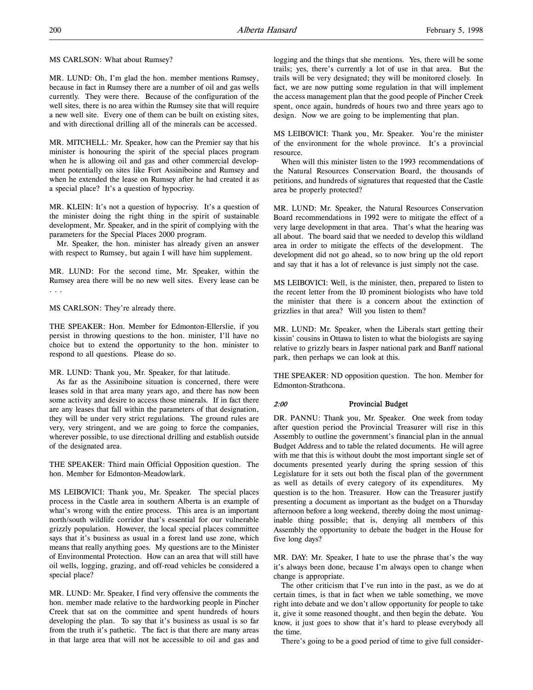MS CARLSON: What about Rumsey?

MR. LUND: Oh, I'm glad the hon. member mentions Rumsey, because in fact in Rumsey there are a number of oil and gas wells currently. They were there. Because of the configuration of the well sites, there is no area within the Rumsey site that will require a new well site. Every one of them can be built on existing sites, and with directional drilling all of the minerals can be accessed.

MR. MITCHELL: Mr. Speaker, how can the Premier say that his minister is honouring the spirit of the special places program when he is allowing oil and gas and other commercial development potentially on sites like Fort Assiniboine and Rumsey and when he extended the lease on Rumsey after he had created it as a special place? It's a question of hypocrisy.

MR. KLEIN: It's not a question of hypocrisy. It's a question of the minister doing the right thing in the spirit of sustainable development, Mr. Speaker, and in the spirit of complying with the parameters for the Special Places 2000 program.

Mr. Speaker, the hon. minister has already given an answer with respect to Rumsey, but again I will have him supplement.

MR. LUND: For the second time, Mr. Speaker, within the Rumsey area there will be no new well sites. Every lease can be . . .

MS CARLSON: They're already there.

THE SPEAKER: Hon. Member for Edmonton-Ellerslie, if you persist in throwing questions to the hon. minister, I'll have no choice but to extend the opportunity to the hon. minister to respond to all questions. Please do so.

MR. LUND: Thank you, Mr. Speaker, for that latitude.

As far as the Assiniboine situation is concerned, there were leases sold in that area many years ago, and there has now been some activity and desire to access those minerals. If in fact there are any leases that fall within the parameters of that designation, they will be under very strict regulations. The ground rules are very, very stringent, and we are going to force the companies, wherever possible, to use directional drilling and establish outside of the designated area.

THE SPEAKER: Third main Official Opposition question. The hon. Member for Edmonton-Meadowlark.

MS LEIBOVICI: Thank you, Mr. Speaker. The special places process in the Castle area in southern Alberta is an example of what's wrong with the entire process. This area is an important north/south wildlife corridor that's essential for our vulnerable grizzly population. However, the local special places committee says that it's business as usual in a forest land use zone, which means that really anything goes. My questions are to the Minister of Environmental Protection. How can an area that will still have oil wells, logging, grazing, and off-road vehicles be considered a special place?

MR. LUND: Mr. Speaker, I find very offensive the comments the hon. member made relative to the hardworking people in Pincher Creek that sat on the committee and spent hundreds of hours developing the plan. To say that it's business as usual is so far from the truth it's pathetic. The fact is that there are many areas in that large area that will not be accessible to oil and gas and

logging and the things that she mentions. Yes, there will be some trails; yes, there's currently a lot of use in that area. But the trails will be very designated; they will be monitored closely. In fact, we are now putting some regulation in that will implement the access management plan that the good people of Pincher Creek spent, once again, hundreds of hours two and three years ago to design. Now we are going to be implementing that plan.

MS LEIBOVICI: Thank you, Mr. Speaker. You're the minister of the environment for the whole province. It's a provincial resource.

When will this minister listen to the 1993 recommendations of the Natural Resources Conservation Board, the thousands of petitions, and hundreds of signatures that requested that the Castle area be properly protected?

MR. LUND: Mr. Speaker, the Natural Resources Conservation Board recommendations in 1992 were to mitigate the effect of a very large development in that area. That's what the hearing was all about. The board said that we needed to develop this wildland area in order to mitigate the effects of the development. The development did not go ahead, so to now bring up the old report and say that it has a lot of relevance is just simply not the case.

MS LEIBOVICI: Well, is the minister, then, prepared to listen to the recent letter from the 10 prominent biologists who have told the minister that there is a concern about the extinction of grizzlies in that area? Will you listen to them?

MR. LUND: Mr. Speaker, when the Liberals start getting their kissin' cousins in Ottawa to listen to what the biologists are saying relative to grizzly bears in Jasper national park and Banff national park, then perhaps we can look at this.

THE SPEAKER: ND opposition question. The hon. Member for Edmonton-Strathcona.

## 2:00 Provincial Budget

DR. PANNU: Thank you, Mr. Speaker. One week from today after question period the Provincial Treasurer will rise in this Assembly to outline the government's financial plan in the annual Budget Address and to table the related documents. He will agree with me that this is without doubt the most important single set of documents presented yearly during the spring session of this Legislature for it sets out both the fiscal plan of the government as well as details of every category of its expenditures. My question is to the hon. Treasurer. How can the Treasurer justify presenting a document as important as the budget on a Thursday afternoon before a long weekend, thereby doing the most unimaginable thing possible; that is, denying all members of this Assembly the opportunity to debate the budget in the House for five long days?

MR. DAY: Mr. Speaker, I hate to use the phrase that's the way it's always been done, because I'm always open to change when change is appropriate.

The other criticism that I've run into in the past, as we do at certain times, is that in fact when we table something, we move right into debate and we don't allow opportunity for people to take it, give it some reasoned thought, and then begin the debate. You know, it just goes to show that it's hard to please everybody all the time.

There's going to be a good period of time to give full consider-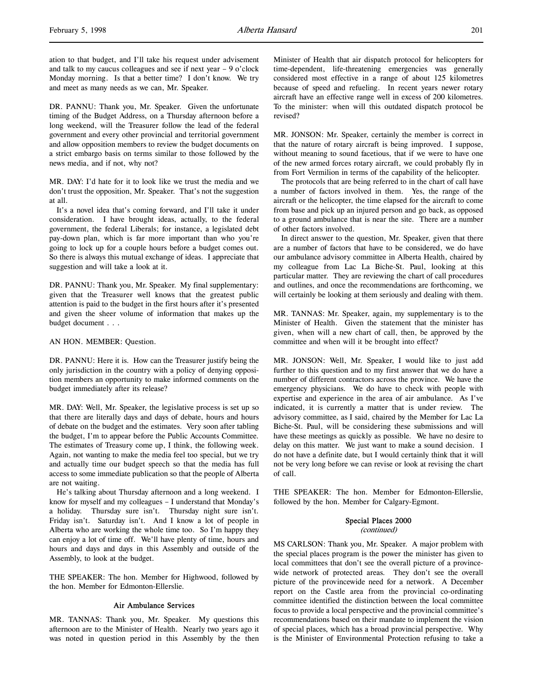ation to that budget, and I'll take his request under advisement and talk to my caucus colleagues and see if next year – 9 o'clock Monday morning. Is that a better time? I don't know. We try and meet as many needs as we can, Mr. Speaker.

DR. PANNU: Thank you, Mr. Speaker. Given the unfortunate timing of the Budget Address, on a Thursday afternoon before a long weekend, will the Treasurer follow the lead of the federal government and every other provincial and territorial government and allow opposition members to review the budget documents on a strict embargo basis on terms similar to those followed by the news media, and if not, why not?

MR. DAY: I'd hate for it to look like we trust the media and we don't trust the opposition, Mr. Speaker. That's not the suggestion at all.

It's a novel idea that's coming forward, and I'll take it under consideration. I have brought ideas, actually, to the federal government, the federal Liberals; for instance, a legislated debt pay-down plan, which is far more important than who you're going to lock up for a couple hours before a budget comes out. So there is always this mutual exchange of ideas. I appreciate that suggestion and will take a look at it.

DR. PANNU: Thank you, Mr. Speaker. My final supplementary: given that the Treasurer well knows that the greatest public attention is paid to the budget in the first hours after it's presented and given the sheer volume of information that makes up the budget document . . .

AN HON. MEMBER: Question.

DR. PANNU: Here it is. How can the Treasurer justify being the only jurisdiction in the country with a policy of denying opposition members an opportunity to make informed comments on the budget immediately after its release?

MR. DAY: Well, Mr. Speaker, the legislative process is set up so that there are literally days and days of debate, hours and hours of debate on the budget and the estimates. Very soon after tabling the budget, I'm to appear before the Public Accounts Committee. The estimates of Treasury come up, I think, the following week. Again, not wanting to make the media feel too special, but we try and actually time our budget speech so that the media has full access to some immediate publication so that the people of Alberta are not waiting.

He's talking about Thursday afternoon and a long weekend. I know for myself and my colleagues – I understand that Monday's a holiday. Thursday sure isn't. Thursday night sure isn't. Friday isn't. Saturday isn't. And I know a lot of people in Alberta who are working the whole time too. So I'm happy they can enjoy a lot of time off. We'll have plenty of time, hours and hours and days and days in this Assembly and outside of the Assembly, to look at the budget.

THE SPEAKER: The hon. Member for Highwood, followed by the hon. Member for Edmonton-Ellerslie.

## Air Ambulance Services

MR. TANNAS: Thank you, Mr. Speaker. My questions this afternoon are to the Minister of Health. Nearly two years ago it was noted in question period in this Assembly by the then Minister of Health that air dispatch protocol for helicopters for time-dependent, life-threatening emergencies was generally considered most effective in a range of about 125 kilometres because of speed and refueling. In recent years newer rotary aircraft have an effective range well in excess of 200 kilometres. To the minister: when will this outdated dispatch protocol be revised?

MR. JONSON: Mr. Speaker, certainly the member is correct in that the nature of rotary aircraft is being improved. I suppose, without meaning to sound facetious, that if we were to have one of the new armed forces rotary aircraft, we could probably fly in from Fort Vermilion in terms of the capability of the helicopter.

The protocols that are being referred to in the chart of call have a number of factors involved in them. Yes, the range of the aircraft or the helicopter, the time elapsed for the aircraft to come from base and pick up an injured person and go back, as opposed to a ground ambulance that is near the site. There are a number of other factors involved.

In direct answer to the question, Mr. Speaker, given that there are a number of factors that have to be considered, we do have our ambulance advisory committee in Alberta Health, chaired by my colleague from Lac La Biche-St. Paul, looking at this particular matter. They are reviewing the chart of call procedures and outlines, and once the recommendations are forthcoming, we will certainly be looking at them seriously and dealing with them.

MR. TANNAS: Mr. Speaker, again, my supplementary is to the Minister of Health. Given the statement that the minister has given, when will a new chart of call, then, be approved by the committee and when will it be brought into effect?

MR. JONSON: Well, Mr. Speaker, I would like to just add further to this question and to my first answer that we do have a number of different contractors across the province. We have the emergency physicians. We do have to check with people with expertise and experience in the area of air ambulance. As I've indicated, it is currently a matter that is under review. The advisory committee, as I said, chaired by the Member for Lac La Biche-St. Paul, will be considering these submissions and will have these meetings as quickly as possible. We have no desire to delay on this matter. We just want to make a sound decision. I do not have a definite date, but I would certainly think that it will not be very long before we can revise or look at revising the chart of call.

THE SPEAKER: The hon. Member for Edmonton-Ellerslie, followed by the hon. Member for Calgary-Egmont.

#### Special Places 2000

(continued)

MS CARLSON: Thank you, Mr. Speaker. A major problem with the special places program is the power the minister has given to local committees that don't see the overall picture of a provincewide network of protected areas. They don't see the overall picture of the provincewide need for a network. A December report on the Castle area from the provincial co-ordinating committee identified the distinction between the local committee focus to provide a local perspective and the provincial committee's recommendations based on their mandate to implement the vision of special places, which has a broad provincial perspective. Why is the Minister of Environmental Protection refusing to take a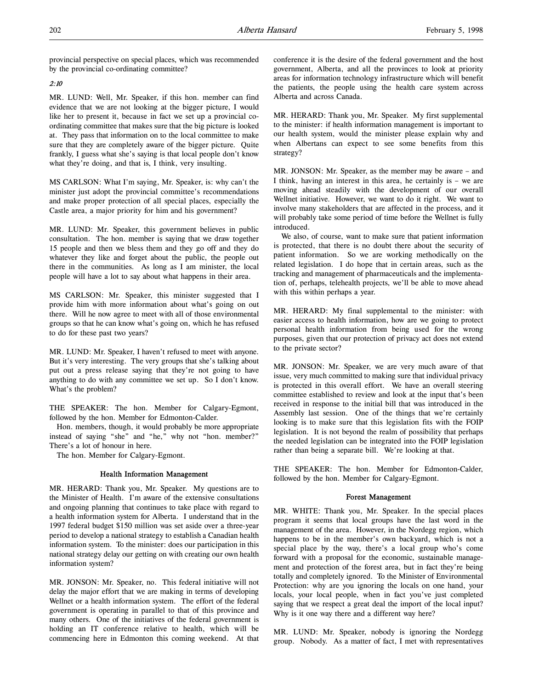provincial perspective on special places, which was recommended by the provincial co-ordinating committee?

# 2:10

MR. LUND: Well, Mr. Speaker, if this hon. member can find evidence that we are not looking at the bigger picture, I would like her to present it, because in fact we set up a provincial coordinating committee that makes sure that the big picture is looked at. They pass that information on to the local committee to make sure that they are completely aware of the bigger picture. Quite frankly, I guess what she's saying is that local people don't know what they're doing, and that is, I think, very insulting.

MS CARLSON: What I'm saying, Mr. Speaker, is: why can't the minister just adopt the provincial committee's recommendations and make proper protection of all special places, especially the Castle area, a major priority for him and his government?

MR. LUND: Mr. Speaker, this government believes in public consultation. The hon. member is saying that we draw together 15 people and then we bless them and they go off and they do whatever they like and forget about the public, the people out there in the communities. As long as I am minister, the local people will have a lot to say about what happens in their area.

MS CARLSON: Mr. Speaker, this minister suggested that I provide him with more information about what's going on out there. Will he now agree to meet with all of those environmental groups so that he can know what's going on, which he has refused to do for these past two years?

MR. LUND: Mr. Speaker, I haven't refused to meet with anyone. But it's very interesting. The very groups that she's talking about put out a press release saying that they're not going to have anything to do with any committee we set up. So I don't know. What's the problem?

THE SPEAKER: The hon. Member for Calgary-Egmont, followed by the hon. Member for Edmonton-Calder.

Hon. members, though, it would probably be more appropriate instead of saying "she" and "he," why not "hon. member?" There's a lot of honour in here.

The hon. Member for Calgary-Egmont.

# Health Information Management

MR. HERARD: Thank you, Mr. Speaker. My questions are to the Minister of Health. I'm aware of the extensive consultations and ongoing planning that continues to take place with regard to a health information system for Alberta. I understand that in the 1997 federal budget \$150 million was set aside over a three-year period to develop a national strategy to establish a Canadian health information system. To the minister: does our participation in this national strategy delay our getting on with creating our own health information system?

MR. JONSON: Mr. Speaker, no. This federal initiative will not delay the major effort that we are making in terms of developing Wellnet or a health information system. The effort of the federal government is operating in parallel to that of this province and many others. One of the initiatives of the federal government is holding an IT conference relative to health, which will be commencing here in Edmonton this coming weekend. At that conference it is the desire of the federal government and the host government, Alberta, and all the provinces to look at priority areas for information technology infrastructure which will benefit the patients, the people using the health care system across Alberta and across Canada.

MR. HERARD: Thank you, Mr. Speaker. My first supplemental to the minister: if health information management is important to our health system, would the minister please explain why and when Albertans can expect to see some benefits from this strategy?

MR. JONSON: Mr. Speaker, as the member may be aware – and I think, having an interest in this area, he certainly is – we are moving ahead steadily with the development of our overall Wellnet initiative. However, we want to do it right. We want to involve many stakeholders that are affected in the process, and it will probably take some period of time before the Wellnet is fully introduced.

We also, of course, want to make sure that patient information is protected, that there is no doubt there about the security of patient information. So we are working methodically on the related legislation. I do hope that in certain areas, such as the tracking and management of pharmaceuticals and the implementation of, perhaps, telehealth projects, we'll be able to move ahead with this within perhaps a year.

MR. HERARD: My final supplemental to the minister: with easier access to health information, how are we going to protect personal health information from being used for the wrong purposes, given that our protection of privacy act does not extend to the private sector?

MR. JONSON: Mr. Speaker, we are very much aware of that issue, very much committed to making sure that individual privacy is protected in this overall effort. We have an overall steering committee established to review and look at the input that's been received in response to the initial bill that was introduced in the Assembly last session. One of the things that we're certainly looking is to make sure that this legislation fits with the FOIP legislation. It is not beyond the realm of possibility that perhaps the needed legislation can be integrated into the FOIP legislation rather than being a separate bill. We're looking at that.

THE SPEAKER: The hon. Member for Edmonton-Calder, followed by the hon. Member for Calgary-Egmont.

#### Forest Management

MR. WHITE: Thank you, Mr. Speaker. In the special places program it seems that local groups have the last word in the management of the area. However, in the Nordegg region, which happens to be in the member's own backyard, which is not a special place by the way, there's a local group who's come forward with a proposal for the economic, sustainable management and protection of the forest area, but in fact they're being totally and completely ignored. To the Minister of Environmental Protection: why are you ignoring the locals on one hand, your locals, your local people, when in fact you've just completed saying that we respect a great deal the import of the local input? Why is it one way there and a different way here?

MR. LUND: Mr. Speaker, nobody is ignoring the Nordegg group. Nobody. As a matter of fact, I met with representatives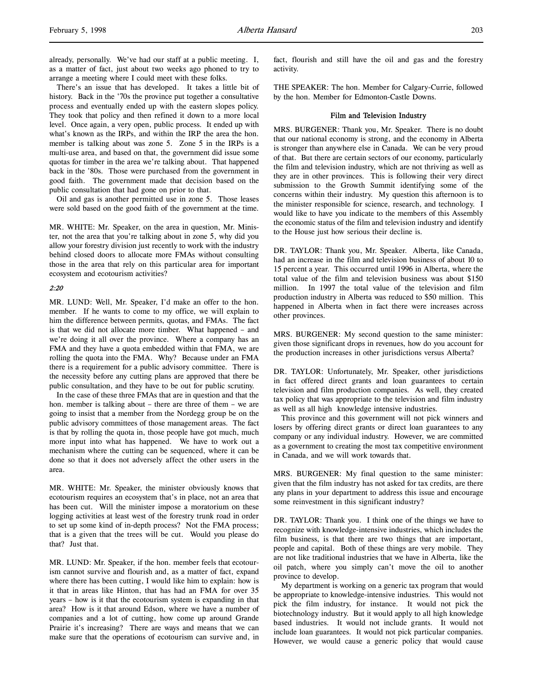There's an issue that has developed. It takes a little bit of history. Back in the '70s the province put together a consultative process and eventually ended up with the eastern slopes policy. They took that policy and then refined it down to a more local level. Once again, a very open, public process. It ended up with what's known as the IRPs, and within the IRP the area the hon. member is talking about was zone 5. Zone 5 in the IRPs is a multi-use area, and based on that, the government did issue some quotas for timber in the area we're talking about. That happened back in the '80s. Those were purchased from the government in good faith. The government made that decision based on the public consultation that had gone on prior to that.

Oil and gas is another permitted use in zone 5. Those leases were sold based on the good faith of the government at the time.

MR. WHITE: Mr. Speaker, on the area in question, Mr. Minister, not the area that you're talking about in zone 5, why did you allow your forestry division just recently to work with the industry behind closed doors to allocate more FMAs without consulting those in the area that rely on this particular area for important ecosystem and ecotourism activities?

## 2:20

MR. LUND: Well, Mr. Speaker, I'd make an offer to the hon. member. If he wants to come to my office, we will explain to him the difference between permits, quotas, and FMAs. The fact is that we did not allocate more timber. What happened – and we're doing it all over the province. Where a company has an FMA and they have a quota embedded within that FMA, we are rolling the quota into the FMA. Why? Because under an FMA there is a requirement for a public advisory committee. There is the necessity before any cutting plans are approved that there be public consultation, and they have to be out for public scrutiny.

In the case of these three FMAs that are in question and that the hon. member is talking about – there are three of them – we are going to insist that a member from the Nordegg group be on the public advisory committees of those management areas. The fact is that by rolling the quota in, those people have got much, much more input into what has happened. We have to work out a mechanism where the cutting can be sequenced, where it can be done so that it does not adversely affect the other users in the area.

MR. WHITE: Mr. Speaker, the minister obviously knows that ecotourism requires an ecosystem that's in place, not an area that has been cut. Will the minister impose a moratorium on these logging activities at least west of the forestry trunk road in order to set up some kind of in-depth process? Not the FMA process; that is a given that the trees will be cut. Would you please do that? Just that.

MR. LUND: Mr. Speaker, if the hon. member feels that ecotourism cannot survive and flourish and, as a matter of fact, expand where there has been cutting, I would like him to explain: how is it that in areas like Hinton, that has had an FMA for over 35 years – how is it that the ecotourism system is expanding in that area? How is it that around Edson, where we have a number of companies and a lot of cutting, how come up around Grande Prairie it's increasing? There are ways and means that we can make sure that the operations of ecotourism can survive and, in

fact, flourish and still have the oil and gas and the forestry activity.

THE SPEAKER: The hon. Member for Calgary-Currie, followed by the hon. Member for Edmonton-Castle Downs.

#### Film and Television Industry

MRS. BURGENER: Thank you, Mr. Speaker. There is no doubt that our national economy is strong, and the economy in Alberta is stronger than anywhere else in Canada. We can be very proud of that. But there are certain sectors of our economy, particularly the film and television industry, which are not thriving as well as they are in other provinces. This is following their very direct submission to the Growth Summit identifying some of the concerns within their industry. My question this afternoon is to the minister responsible for science, research, and technology. I would like to have you indicate to the members of this Assembly the economic status of the film and television industry and identify to the House just how serious their decline is.

DR. TAYLOR: Thank you, Mr. Speaker. Alberta, like Canada, had an increase in the film and television business of about 10 to 15 percent a year. This occurred until 1996 in Alberta, where the total value of the film and television business was about \$150 million. In 1997 the total value of the television and film production industry in Alberta was reduced to \$50 million. This happened in Alberta when in fact there were increases across other provinces.

MRS. BURGENER: My second question to the same minister: given those significant drops in revenues, how do you account for the production increases in other jurisdictions versus Alberta?

DR. TAYLOR: Unfortunately, Mr. Speaker, other jurisdictions in fact offered direct grants and loan guarantees to certain television and film production companies. As well, they created tax policy that was appropriate to the television and film industry as well as all high knowledge intensive industries.

This province and this government will not pick winners and losers by offering direct grants or direct loan guarantees to any company or any individual industry. However, we are committed as a government to creating the most tax competitive environment in Canada, and we will work towards that.

MRS. BURGENER: My final question to the same minister: given that the film industry has not asked for tax credits, are there any plans in your department to address this issue and encourage some reinvestment in this significant industry?

DR. TAYLOR: Thank you. I think one of the things we have to recognize with knowledge-intensive industries, which includes the film business, is that there are two things that are important, people and capital. Both of these things are very mobile. They are not like traditional industries that we have in Alberta, like the oil patch, where you simply can't move the oil to another province to develop.

My department is working on a generic tax program that would be appropriate to knowledge-intensive industries. This would not pick the film industry, for instance. It would not pick the biotechnology industry. But it would apply to all high knowledge based industries. It would not include grants. It would not include loan guarantees. It would not pick particular companies. However, we would cause a generic policy that would cause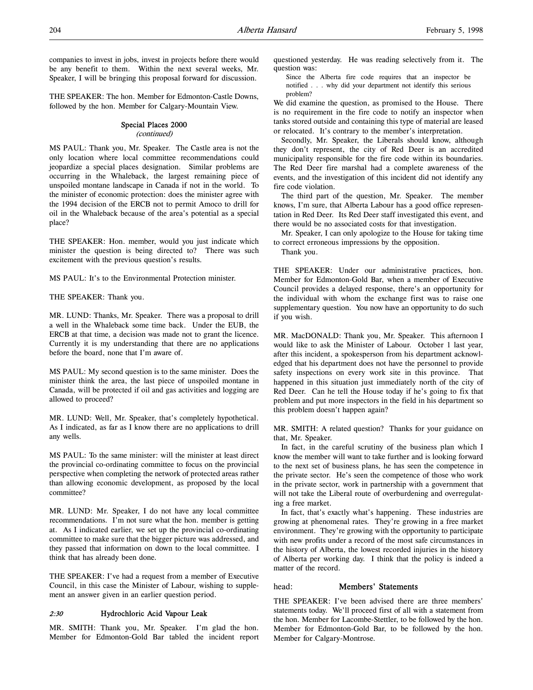THE SPEAKER: The hon. Member for Edmonton-Castle Downs, followed by the hon. Member for Calgary-Mountain View.

# Special Places 2000

# (continued)

MS PAUL: Thank you, Mr. Speaker. The Castle area is not the only location where local committee recommendations could jeopardize a special places designation. Similar problems are occurring in the Whaleback, the largest remaining piece of unspoiled montane landscape in Canada if not in the world. To the minister of economic protection: does the minister agree with the 1994 decision of the ERCB not to permit Amoco to drill for oil in the Whaleback because of the area's potential as a special place?

THE SPEAKER: Hon. member, would you just indicate which minister the question is being directed to? There was such excitement with the previous question's results.

MS PAUL: It's to the Environmental Protection minister.

THE SPEAKER: Thank you.

MR. LUND: Thanks, Mr. Speaker. There was a proposal to drill a well in the Whaleback some time back. Under the EUB, the ERCB at that time, a decision was made not to grant the licence. Currently it is my understanding that there are no applications before the board, none that I'm aware of.

MS PAUL: My second question is to the same minister. Does the minister think the area, the last piece of unspoiled montane in Canada, will be protected if oil and gas activities and logging are allowed to proceed?

MR. LUND: Well, Mr. Speaker, that's completely hypothetical. As I indicated, as far as I know there are no applications to drill any wells.

MS PAUL: To the same minister: will the minister at least direct the provincial co-ordinating committee to focus on the provincial perspective when completing the network of protected areas rather than allowing economic development, as proposed by the local committee?

MR. LUND: Mr. Speaker, I do not have any local committee recommendations. I'm not sure what the hon. member is getting at. As I indicated earlier, we set up the provincial co-ordinating committee to make sure that the bigger picture was addressed, and they passed that information on down to the local committee. I think that has already been done.

THE SPEAKER: I've had a request from a member of Executive Council, in this case the Minister of Labour, wishing to supplement an answer given in an earlier question period.

## 2:30 Hydrochloric Acid Vapour Leak

MR. SMITH: Thank you, Mr. Speaker. I'm glad the hon. Member for Edmonton-Gold Bar tabled the incident report questioned yesterday. He was reading selectively from it. The question was:

Since the Alberta fire code requires that an inspector be notified . . . why did your department not identify this serious problem?

We did examine the question, as promised to the House. There is no requirement in the fire code to notify an inspector when tanks stored outside and containing this type of material are leased or relocated. It's contrary to the member's interpretation.

Secondly, Mr. Speaker, the Liberals should know, although they don't represent, the city of Red Deer is an accredited municipality responsible for the fire code within its boundaries. The Red Deer fire marshal had a complete awareness of the events, and the investigation of this incident did not identify any fire code violation.

The third part of the question, Mr. Speaker. The member knows, I'm sure, that Alberta Labour has a good office representation in Red Deer. Its Red Deer staff investigated this event, and there would be no associated costs for that investigation.

Mr. Speaker, I can only apologize to the House for taking time to correct erroneous impressions by the opposition.

Thank you.

THE SPEAKER: Under our administrative practices, hon. Member for Edmonton-Gold Bar, when a member of Executive Council provides a delayed response, there's an opportunity for the individual with whom the exchange first was to raise one supplementary question. You now have an opportunity to do such if you wish.

MR. MacDONALD: Thank you, Mr. Speaker. This afternoon I would like to ask the Minister of Labour. October 1 last year, after this incident, a spokesperson from his department acknowledged that his department does not have the personnel to provide safety inspections on every work site in this province. That happened in this situation just immediately north of the city of Red Deer. Can he tell the House today if he's going to fix that problem and put more inspectors in the field in his department so this problem doesn't happen again?

MR. SMITH: A related question? Thanks for your guidance on that, Mr. Speaker.

In fact, in the careful scrutiny of the business plan which I know the member will want to take further and is looking forward to the next set of business plans, he has seen the competence in the private sector. He's seen the competence of those who work in the private sector, work in partnership with a government that will not take the Liberal route of overburdening and overregulating a free market.

In fact, that's exactly what's happening. These industries are growing at phenomenal rates. They're growing in a free market environment. They're growing with the opportunity to participate with new profits under a record of the most safe circumstances in the history of Alberta, the lowest recorded injuries in the history of Alberta per working day. I think that the policy is indeed a matter of the record.

#### head: Members' Statements

THE SPEAKER: I've been advised there are three members' statements today. We'll proceed first of all with a statement from the hon. Member for Lacombe-Stettler, to be followed by the hon. Member for Edmonton-Gold Bar, to be followed by the hon. Member for Calgary-Montrose.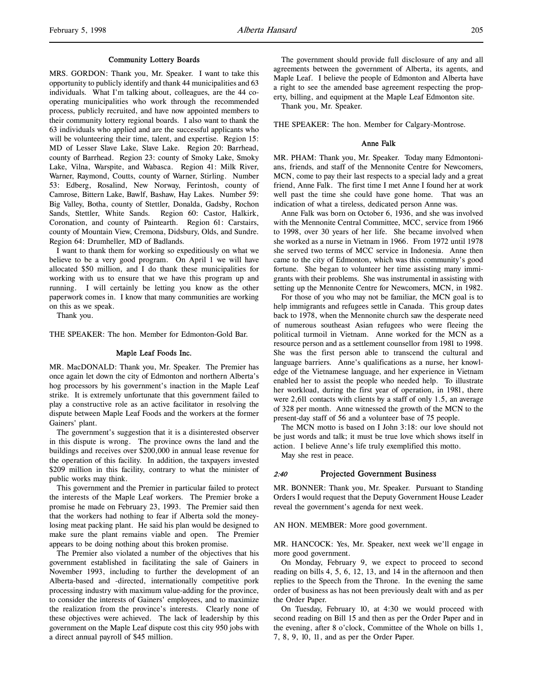#### Community Lottery Boards

MRS. GORDON: Thank you, Mr. Speaker. I want to take this opportunity to publicly identify and thank 44 municipalities and 63 individuals. What I'm talking about, colleagues, are the 44 cooperating municipalities who work through the recommended process, publicly recruited, and have now appointed members to their community lottery regional boards. I also want to thank the 63 individuals who applied and are the successful applicants who will be volunteering their time, talent, and expertise. Region 15: MD of Lesser Slave Lake, Slave Lake. Region 20: Barrhead, county of Barrhead. Region 23: county of Smoky Lake, Smoky Lake, Vilna, Warspite, and Wabasca. Region 41: Milk River, Warner, Raymond, Coutts, county of Warner, Stirling. Number 53: Edberg, Rosalind, New Norway, Ferintosh, county of Camrose, Bittern Lake, Bawlf, Bashaw, Hay Lakes. Number 59: Big Valley, Botha, county of Stettler, Donalda, Gadsby, Rochon Sands, Stettler, White Sands. Region 60: Castor, Halkirk, Coronation, and county of Paintearth. Region 61: Carstairs, county of Mountain View, Cremona, Didsbury, Olds, and Sundre. Region 64: Drumheller, MD of Badlands.

I want to thank them for working so expeditiously on what we believe to be a very good program. On April 1 we will have allocated \$50 million, and I do thank these municipalities for working with us to ensure that we have this program up and running. I will certainly be letting you know as the other paperwork comes in. I know that many communities are working on this as we speak.

Thank you.

THE SPEAKER: The hon. Member for Edmonton-Gold Bar.

#### Maple Leaf Foods Inc.

MR. MacDONALD: Thank you, Mr. Speaker. The Premier has once again let down the city of Edmonton and northern Alberta's hog processors by his government's inaction in the Maple Leaf strike. It is extremely unfortunate that this government failed to play a constructive role as an active facilitator in resolving the dispute between Maple Leaf Foods and the workers at the former Gainers' plant.

The government's suggestion that it is a disinterested observer in this dispute is wrong. The province owns the land and the buildings and receives over \$200,000 in annual lease revenue for the operation of this facility. In addition, the taxpayers invested \$209 million in this facility, contrary to what the minister of public works may think.

This government and the Premier in particular failed to protect the interests of the Maple Leaf workers. The Premier broke a promise he made on February 23, 1993. The Premier said then that the workers had nothing to fear if Alberta sold the moneylosing meat packing plant. He said his plan would be designed to make sure the plant remains viable and open. The Premier appears to be doing nothing about this broken promise.

The Premier also violated a number of the objectives that his government established in facilitating the sale of Gainers in November 1993, including to further the development of an Alberta-based and -directed, internationally competitive pork processing industry with maximum value-adding for the province, to consider the interests of Gainers' employees, and to maximize the realization from the province's interests. Clearly none of these objectives were achieved. The lack of leadership by this government on the Maple Leaf dispute cost this city 950 jobs with a direct annual payroll of \$45 million.

The government should provide full disclosure of any and all agreements between the government of Alberta, its agents, and Maple Leaf. I believe the people of Edmonton and Alberta have a right to see the amended base agreement respecting the property, billing, and equipment at the Maple Leaf Edmonton site.

Thank you, Mr. Speaker.

THE SPEAKER: The hon. Member for Calgary-Montrose.

#### Anne Falk

MR. PHAM: Thank you, Mr. Speaker. Today many Edmontonians, friends, and staff of the Mennonite Centre for Newcomers, MCN, come to pay their last respects to a special lady and a great friend, Anne Falk. The first time I met Anne I found her at work well past the time she could have gone home. That was an indication of what a tireless, dedicated person Anne was.

Anne Falk was born on October 6, 1936, and she was involved with the Mennonite Central Committee, MCC, service from 1966 to 1998, over 30 years of her life. She became involved when she worked as a nurse in Vietnam in 1966. From 1972 until 1978 she served two terms of MCC service in Indonesia. Anne then came to the city of Edmonton, which was this community's good fortune. She began to volunteer her time assisting many immigrants with their problems. She was instrumental in assisting with setting up the Mennonite Centre for Newcomers, MCN, in 1982.

For those of you who may not be familiar, the MCN goal is to help immigrants and refugees settle in Canada. This group dates back to 1978, when the Mennonite church saw the desperate need of numerous southeast Asian refugees who were fleeing the political turmoil in Vietnam. Anne worked for the MCN as a resource person and as a settlement counsellor from 1981 to 1998. She was the first person able to transcend the cultural and language barriers. Anne's qualifications as a nurse, her knowledge of the Vietnamese language, and her experience in Vietnam enabled her to assist the people who needed help. To illustrate her workload, during the first year of operation, in 1981, there were 2,611 contacts with clients by a staff of only 1.5, an average of 328 per month. Anne witnessed the growth of the MCN to the present-day staff of 56 and a volunteer base of 75 people.

The MCN motto is based on I John 3:18: our love should not be just words and talk; it must be true love which shows itself in action. I believe Anne's life truly exemplified this motto.

May she rest in peace.

# 2:40 Projected Government Business

MR. BONNER: Thank you, Mr. Speaker. Pursuant to Standing Orders I would request that the Deputy Government House Leader reveal the government's agenda for next week.

#### AN HON. MEMBER: More good government.

MR. HANCOCK: Yes, Mr. Speaker, next week we'll engage in more good government.

On Monday, February 9, we expect to proceed to second reading on bills 4, 5, 6, 12, 13, and 14 in the afternoon and then replies to the Speech from the Throne. In the evening the same order of business as has not been previously dealt with and as per the Order Paper.

On Tuesday, February 10, at 4:30 we would proceed with second reading on Bill 15 and then as per the Order Paper and in the evening, after 8 o'clock, Committee of the Whole on bills 1, 7, 8, 9, 10, 11, and as per the Order Paper.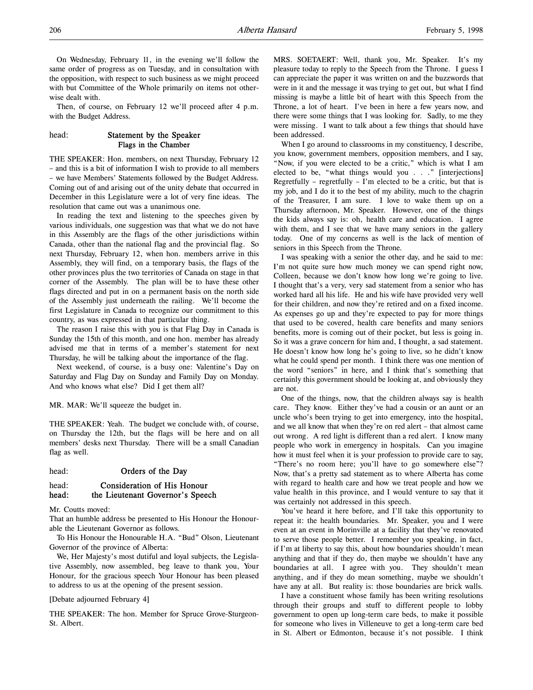On Wednesday, February 11, in the evening we'll follow the same order of progress as on Tuesday, and in consultation with the opposition, with respect to such business as we might proceed with but Committee of the Whole primarily on items not otherwise dealt with.

Then, of course, on February 12 we'll proceed after 4 p.m. with the Budget Address.

# head: Statement by the Speaker Flags in the Chamber

THE SPEAKER: Hon. members, on next Thursday, February 12 – and this is a bit of information I wish to provide to all members – we have Members' Statements followed by the Budget Address. Coming out of and arising out of the unity debate that occurred in December in this Legislature were a lot of very fine ideas. The resolution that came out was a unanimous one.

In reading the text and listening to the speeches given by various individuals, one suggestion was that what we do not have in this Assembly are the flags of the other jurisdictions within Canada, other than the national flag and the provincial flag. So next Thursday, February 12, when hon. members arrive in this Assembly, they will find, on a temporary basis, the flags of the other provinces plus the two territories of Canada on stage in that corner of the Assembly. The plan will be to have these other flags directed and put in on a permanent basis on the north side of the Assembly just underneath the railing. We'll become the first Legislature in Canada to recognize our commitment to this country, as was expressed in that particular thing.

The reason I raise this with you is that Flag Day in Canada is Sunday the 15th of this month, and one hon. member has already advised me that in terms of a member's statement for next Thursday, he will be talking about the importance of the flag.

Next weekend, of course, is a busy one: Valentine's Day on Saturday and Flag Day on Sunday and Family Day on Monday. And who knows what else? Did I get them all?

MR. MAR: We'll squeeze the budget in.

THE SPEAKER: Yeah. The budget we conclude with, of course, on Thursday the 12th, but the flags will be here and on all members' desks next Thursday. There will be a small Canadian flag as well.

#### head: **Orders of the Day**

# head: Consideration of His Honour head: the Lieutenant Governor's Speech

Mr. Coutts moved:

That an humble address be presented to His Honour the Honourable the Lieutenant Governor as follows.

To His Honour the Honourable H.A. "Bud" Olson, Lieutenant Governor of the province of Alberta:

We, Her Majesty's most dutiful and loyal subjects, the Legislative Assembly, now assembled, beg leave to thank you, Your Honour, for the gracious speech Your Honour has been pleased to address to us at the opening of the present session.

#### [Debate adjourned February 4]

THE SPEAKER: The hon. Member for Spruce Grove-Sturgeon-St. Albert.

MRS. SOETAERT: Well, thank you, Mr. Speaker. It's my pleasure today to reply to the Speech from the Throne. I guess I can appreciate the paper it was written on and the buzzwords that were in it and the message it was trying to get out, but what I find missing is maybe a little bit of heart with this Speech from the Throne, a lot of heart. I've been in here a few years now, and there were some things that I was looking for. Sadly, to me they were missing. I want to talk about a few things that should have been addressed.

When I go around to classrooms in my constituency, I describe, you know, government members, opposition members, and I say, "Now, if you were elected to be a critic," which is what I am elected to be, "what things would you . . ." [interjections] Regretfully – regretfully – I'm elected to be a critic, but that is my job, and I do it to the best of my ability, much to the chagrin of the Treasurer, I am sure. I love to wake them up on a Thursday afternoon, Mr. Speaker. However, one of the things the kids always say is: oh, health care and education. I agree with them, and I see that we have many seniors in the gallery today. One of my concerns as well is the lack of mention of seniors in this Speech from the Throne.

I was speaking with a senior the other day, and he said to me: I'm not quite sure how much money we can spend right now, Colleen, because we don't know how long we're going to live. I thought that's a very, very sad statement from a senior who has worked hard all his life. He and his wife have provided very well for their children, and now they're retired and on a fixed income. As expenses go up and they're expected to pay for more things that used to be covered, health care benefits and many seniors benefits, more is coming out of their pocket, but less is going in. So it was a grave concern for him and, I thought, a sad statement. He doesn't know how long he's going to live, so he didn't know what he could spend per month. I think there was one mention of the word "seniors" in here, and I think that's something that certainly this government should be looking at, and obviously they are not.

One of the things, now, that the children always say is health care. They know. Either they've had a cousin or an aunt or an uncle who's been trying to get into emergency, into the hospital, and we all know that when they're on red alert – that almost came out wrong. A red light is different than a red alert. I know many people who work in emergency in hospitals. Can you imagine how it must feel when it is your profession to provide care to say, "There's no room here; you'll have to go somewhere else"? Now, that's a pretty sad statement as to where Alberta has come with regard to health care and how we treat people and how we value health in this province, and I would venture to say that it was certainly not addressed in this speech.

You've heard it here before, and I'll take this opportunity to repeat it: the health boundaries. Mr. Speaker, you and I were even at an event in Morinville at a facility that they've renovated to serve those people better. I remember you speaking, in fact, if I'm at liberty to say this, about how boundaries shouldn't mean anything and that if they do, then maybe we shouldn't have any boundaries at all. I agree with you. They shouldn't mean anything, and if they do mean something, maybe we shouldn't have any at all. But reality is: those boundaries are brick walls.

I have a constituent whose family has been writing resolutions through their groups and stuff to different people to lobby government to open up long-term care beds, to make it possible for someone who lives in Villeneuve to get a long-term care bed in St. Albert or Edmonton, because it's not possible. I think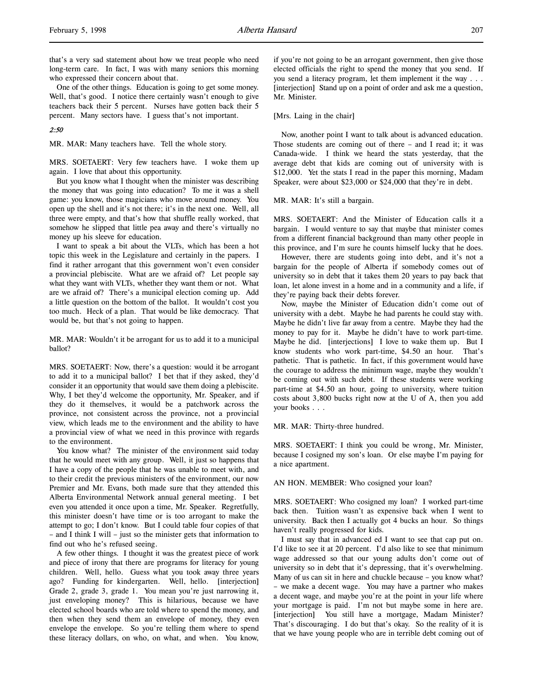that's a very sad statement about how we treat people who need long-term care. In fact, I was with many seniors this morning who expressed their concern about that.

One of the other things. Education is going to get some money. Well, that's good. I notice there certainly wasn't enough to give teachers back their 5 percent. Nurses have gotten back their 5 percent. Many sectors have. I guess that's not important.

#### 2:50

MR. MAR: Many teachers have. Tell the whole story.

MRS. SOETAERT: Very few teachers have. I woke them up again. I love that about this opportunity.

But you know what I thought when the minister was describing the money that was going into education? To me it was a shell game: you know, those magicians who move around money. You open up the shell and it's not there; it's in the next one. Well, all three were empty, and that's how that shuffle really worked, that somehow he slipped that little pea away and there's virtually no money up his sleeve for education.

I want to speak a bit about the VLTs, which has been a hot topic this week in the Legislature and certainly in the papers. I find it rather arrogant that this government won't even consider a provincial plebiscite. What are we afraid of? Let people say what they want with VLTs, whether they want them or not. What are we afraid of? There's a municipal election coming up. Add a little question on the bottom of the ballot. It wouldn't cost you too much. Heck of a plan. That would be like democracy. That would be, but that's not going to happen.

MR. MAR: Wouldn't it be arrogant for us to add it to a municipal ballot?

MRS. SOETAERT: Now, there's a question: would it be arrogant to add it to a municipal ballot? I bet that if they asked, they'd consider it an opportunity that would save them doing a plebiscite. Why, I bet they'd welcome the opportunity, Mr. Speaker, and if they do it themselves, it would be a patchwork across the province, not consistent across the province, not a provincial view, which leads me to the environment and the ability to have a provincial view of what we need in this province with regards to the environment.

You know what? The minister of the environment said today that he would meet with any group. Well, it just so happens that I have a copy of the people that he was unable to meet with, and to their credit the previous ministers of the environment, our now Premier and Mr. Evans, both made sure that they attended this Alberta Environmental Network annual general meeting. I bet even you attended it once upon a time, Mr. Speaker. Regretfully, this minister doesn't have time or is too arrogant to make the attempt to go; I don't know. But I could table four copies of that – and I think I will – just so the minister gets that information to find out who he's refused seeing.

A few other things. I thought it was the greatest piece of work and piece of irony that there are programs for literacy for young children. Well, hello. Guess what you took away three years ago? Funding for kindergarten. Well, hello. [interjection] Grade 2, grade 3, grade 1. You mean you're just narrowing it, just enveloping money? This is hilarious, because we have elected school boards who are told where to spend the money, and then when they send them an envelope of money, they even envelope the envelope. So you're telling them where to spend these literacy dollars, on who, on what, and when. You know,

if you're not going to be an arrogant government, then give those elected officials the right to spend the money that you send. If you send a literacy program, let them implement it the way . . . [interjection] Stand up on a point of order and ask me a question, Mr. Minister.

#### [Mrs. Laing in the chair]

Now, another point I want to talk about is advanced education. Those students are coming out of there – and I read it; it was Canada-wide. I think we heard the stats yesterday, that the average debt that kids are coming out of university with is \$12,000. Yet the stats I read in the paper this morning, Madam Speaker, were about \$23,000 or \$24,000 that they're in debt.

#### MR. MAR: It's still a bargain.

MRS. SOETAERT: And the Minister of Education calls it a bargain. I would venture to say that maybe that minister comes from a different financial background than many other people in this province, and I'm sure he counts himself lucky that he does.

However, there are students going into debt, and it's not a bargain for the people of Alberta if somebody comes out of university so in debt that it takes them 20 years to pay back that loan, let alone invest in a home and in a community and a life, if they're paying back their debts forever.

Now, maybe the Minister of Education didn't come out of university with a debt. Maybe he had parents he could stay with. Maybe he didn't live far away from a centre. Maybe they had the money to pay for it. Maybe he didn't have to work part-time. Maybe he did. [interjections] I love to wake them up. But I know students who work part-time, \$4.50 an hour. That's pathetic. That is pathetic. In fact, if this government would have the courage to address the minimum wage, maybe they wouldn't be coming out with such debt. If these students were working part-time at \$4.50 an hour, going to university, where tuition costs about 3,800 bucks right now at the U of A, then you add your books . . .

#### MR. MAR: Thirty-three hundred.

MRS. SOETAERT: I think you could be wrong, Mr. Minister, because I cosigned my son's loan. Or else maybe I'm paying for a nice apartment.

AN HON. MEMBER: Who cosigned your loan?

MRS. SOETAERT: Who cosigned my loan? I worked part-time back then. Tuition wasn't as expensive back when I went to university. Back then I actually got 4 bucks an hour. So things haven't really progressed for kids.

I must say that in advanced ed I want to see that cap put on. I'd like to see it at 20 percent. I'd also like to see that minimum wage addressed so that our young adults don't come out of university so in debt that it's depressing, that it's overwhelming. Many of us can sit in here and chuckle because – you know what? – we make a decent wage. You may have a partner who makes a decent wage, and maybe you're at the point in your life where your mortgage is paid. I'm not but maybe some in here are. [interjection] You still have a mortgage, Madam Minister? That's discouraging. I do but that's okay. So the reality of it is that we have young people who are in terrible debt coming out of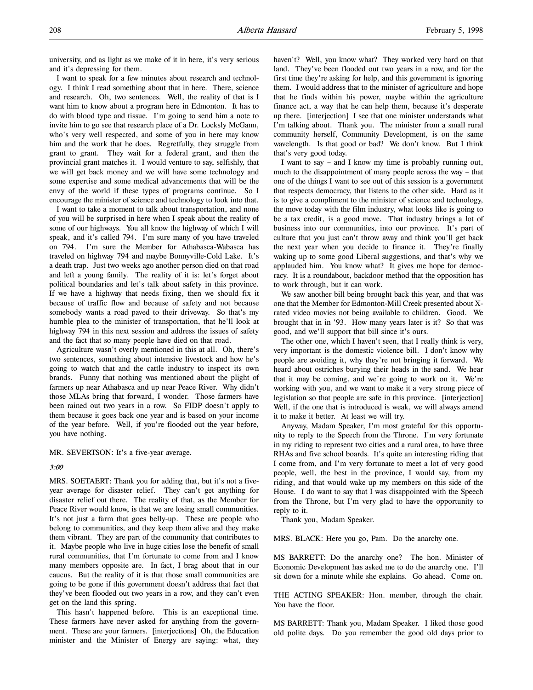I want to speak for a few minutes about research and technology. I think I read something about that in here. There, science and research. Oh, two sentences. Well, the reality of that is I want him to know about a program here in Edmonton. It has to do with blood type and tissue. I'm going to send him a note to invite him to go see that research place of a Dr. Locksly McGann, who's very well respected, and some of you in here may know him and the work that he does. Regretfully, they struggle from grant to grant. They wait for a federal grant, and then the provincial grant matches it. I would venture to say, selfishly, that we will get back money and we will have some technology and some expertise and some medical advancements that will be the envy of the world if these types of programs continue. So I encourage the minister of science and technology to look into that.

I want to take a moment to talk about transportation, and none of you will be surprised in here when I speak about the reality of some of our highways. You all know the highway of which I will speak, and it's called 794. I'm sure many of you have traveled on 794. I'm sure the Member for Athabasca-Wabasca has traveled on highway 794 and maybe Bonnyville-Cold Lake. It's a death trap. Just two weeks ago another person died on that road and left a young family. The reality of it is: let's forget about political boundaries and let's talk about safety in this province. If we have a highway that needs fixing, then we should fix it because of traffic flow and because of safety and not because somebody wants a road paved to their driveway. So that's my humble plea to the minister of transportation, that he'll look at highway 794 in this next session and address the issues of safety and the fact that so many people have died on that road.

Agriculture wasn't overly mentioned in this at all. Oh, there's two sentences, something about intensive livestock and how he's going to watch that and the cattle industry to inspect its own brands. Funny that nothing was mentioned about the plight of farmers up near Athabasca and up near Peace River. Why didn't those MLAs bring that forward, I wonder. Those farmers have been rained out two years in a row. So FIDP doesn't apply to them because it goes back one year and is based on your income of the year before. Well, if you're flooded out the year before, you have nothing.

MR. SEVERTSON: It's a five-year average.

#### 3:00

MRS. SOETAERT: Thank you for adding that, but it's not a fiveyear average for disaster relief. They can't get anything for disaster relief out there. The reality of that, as the Member for Peace River would know, is that we are losing small communities. It's not just a farm that goes belly-up. These are people who belong to communities, and they keep them alive and they make them vibrant. They are part of the community that contributes to it. Maybe people who live in huge cities lose the benefit of small rural communities, that I'm fortunate to come from and I know many members opposite are. In fact, I brag about that in our caucus. But the reality of it is that those small communities are going to be gone if this government doesn't address that fact that they've been flooded out two years in a row, and they can't even get on the land this spring.

This hasn't happened before. This is an exceptional time. These farmers have never asked for anything from the government. These are your farmers. [interjections] Oh, the Education minister and the Minister of Energy are saying: what, they

haven't? Well, you know what? They worked very hard on that land. They've been flooded out two years in a row, and for the first time they're asking for help, and this government is ignoring them. I would address that to the minister of agriculture and hope that he finds within his power, maybe within the agriculture finance act, a way that he can help them, because it's desperate up there. [interjection] I see that one minister understands what I'm talking about. Thank you. The minister from a small rural community herself, Community Development, is on the same wavelength. Is that good or bad? We don't know. But I think that's very good today.

I want to say – and I know my time is probably running out, much to the disappointment of many people across the way – that one of the things I want to see out of this session is a government that respects democracy, that listens to the other side. Hard as it is to give a compliment to the minister of science and technology, the move today with the film industry, what looks like is going to be a tax credit, is a good move. That industry brings a lot of business into our communities, into our province. It's part of culture that you just can't throw away and think you'll get back the next year when you decide to finance it. They're finally waking up to some good Liberal suggestions, and that's why we applauded him. You know what? It gives me hope for democracy. It is a roundabout, backdoor method that the opposition has to work through, but it can work.

We saw another bill being brought back this year, and that was one that the Member for Edmonton-Mill Creek presented about Xrated video movies not being available to children. Good. We brought that in in '93. How many years later is it? So that was good, and we'll support that bill since it's ours.

The other one, which I haven't seen, that I really think is very, very important is the domestic violence bill. I don't know why people are avoiding it, why they're not bringing it forward. We heard about ostriches burying their heads in the sand. We hear that it may be coming, and we're going to work on it. We're working with you, and we want to make it a very strong piece of legislation so that people are safe in this province. [interjection] Well, if the one that is introduced is weak, we will always amend it to make it better. At least we will try.

Anyway, Madam Speaker, I'm most grateful for this opportunity to reply to the Speech from the Throne. I'm very fortunate in my riding to represent two cities and a rural area, to have three RHAs and five school boards. It's quite an interesting riding that I come from, and I'm very fortunate to meet a lot of very good people, well, the best in the province, I would say, from my riding, and that would wake up my members on this side of the House. I do want to say that I was disappointed with the Speech from the Throne, but I'm very glad to have the opportunity to reply to it.

Thank you, Madam Speaker.

MRS. BLACK: Here you go, Pam. Do the anarchy one.

MS BARRETT: Do the anarchy one? The hon. Minister of Economic Development has asked me to do the anarchy one. I'll sit down for a minute while she explains. Go ahead. Come on.

THE ACTING SPEAKER: Hon. member, through the chair. You have the floor.

MS BARRETT: Thank you, Madam Speaker. I liked those good old polite days. Do you remember the good old days prior to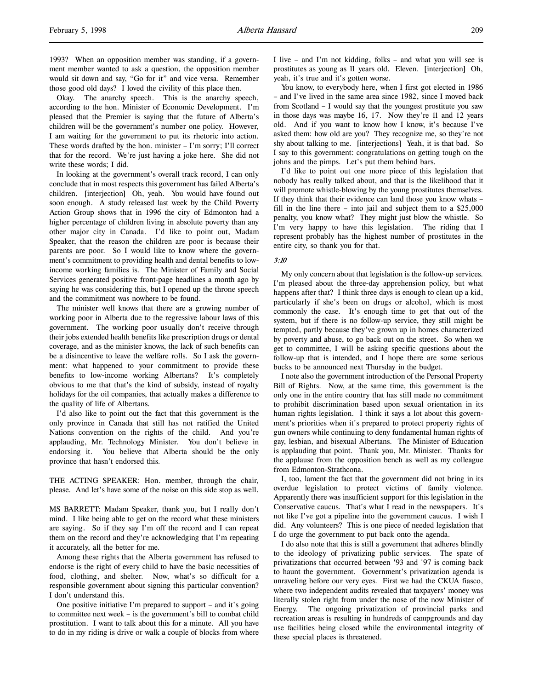1993? When an opposition member was standing, if a government member wanted to ask a question, the opposition member would sit down and say, "Go for it" and vice versa. Remember those good old days? I loved the civility of this place then.

Okay. The anarchy speech. This is the anarchy speech, according to the hon. Minister of Economic Development. I'm pleased that the Premier is saying that the future of Alberta's children will be the government's number one policy. However, I am waiting for the government to put its rhetoric into action. These words drafted by the hon. minister – I'm sorry; I'll correct that for the record. We're just having a joke here. She did not write these words; I did.

In looking at the government's overall track record, I can only conclude that in most respects this government has failed Alberta's children. [interjection] Oh, yeah. You would have found out soon enough. A study released last week by the Child Poverty Action Group shows that in 1996 the city of Edmonton had a higher percentage of children living in absolute poverty than any other major city in Canada. I'd like to point out, Madam Speaker, that the reason the children are poor is because their parents are poor. So I would like to know where the government's commitment to providing health and dental benefits to lowincome working families is. The Minister of Family and Social Services generated positive front-page headlines a month ago by saying he was considering this, but I opened up the throne speech and the commitment was nowhere to be found.

The minister well knows that there are a growing number of working poor in Alberta due to the regressive labour laws of this government. The working poor usually don't receive through their jobs extended health benefits like prescription drugs or dental coverage, and as the minister knows, the lack of such benefits can be a disincentive to leave the welfare rolls. So I ask the government: what happened to your commitment to provide these benefits to low-income working Albertans? It's completely obvious to me that that's the kind of subsidy, instead of royalty holidays for the oil companies, that actually makes a difference to the quality of life of Albertans.

I'd also like to point out the fact that this government is the only province in Canada that still has not ratified the United Nations convention on the rights of the child. And you're applauding, Mr. Technology Minister. You don't believe in endorsing it. You believe that Alberta should be the only province that hasn't endorsed this.

THE ACTING SPEAKER: Hon. member, through the chair, please. And let's have some of the noise on this side stop as well.

MS BARRETT: Madam Speaker, thank you, but I really don't mind. I like being able to get on the record what these ministers are saying. So if they say I'm off the record and I can repeat them on the record and they're acknowledging that I'm repeating it accurately, all the better for me.

Among these rights that the Alberta government has refused to endorse is the right of every child to have the basic necessities of food, clothing, and shelter. Now, what's so difficult for a responsible government about signing this particular convention? I don't understand this.

One positive initiative I'm prepared to support – and it's going to committee next week – is the government's bill to combat child prostitution. I want to talk about this for a minute. All you have to do in my riding is drive or walk a couple of blocks from where I live – and I'm not kidding, folks – and what you will see is prostitutes as young as 11 years old. Eleven. [interjection] Oh, yeah, it's true and it's gotten worse.

You know, to everybody here, when I first got elected in 1986 – and I've lived in the same area since 1982, since I moved back from Scotland – I would say that the youngest prostitute you saw in those days was maybe 16, 17. Now they're 11 and 12 years old. And if you want to know how I know, it's because I've asked them: how old are you? They recognize me, so they're not shy about talking to me. [interjections] Yeah, it is that bad. So I say to this government: congratulations on getting tough on the johns and the pimps. Let's put them behind bars.

I'd like to point out one more piece of this legislation that nobody has really talked about, and that is the likelihood that it will promote whistle-blowing by the young prostitutes themselves. If they think that their evidence can land those you know whats – fill in the line there – into jail and subject them to a \$25,000 penalty, you know what? They might just blow the whistle. So I'm very happy to have this legislation. The riding that I represent probably has the highest number of prostitutes in the entire city, so thank you for that.

## 3:10

My only concern about that legislation is the follow-up services. I'm pleased about the three-day apprehension policy, but what happens after that? I think three days is enough to clean up a kid, particularly if she's been on drugs or alcohol, which is most commonly the case. It's enough time to get that out of the system, but if there is no follow-up service, they still might be tempted, partly because they've grown up in homes characterized by poverty and abuse, to go back out on the street. So when we get to committee, I will be asking specific questions about the follow-up that is intended, and I hope there are some serious bucks to be announced next Thursday in the budget.

I note also the government introduction of the Personal Property Bill of Rights. Now, at the same time, this government is the only one in the entire country that has still made no commitment to prohibit discrimination based upon sexual orientation in its human rights legislation. I think it says a lot about this government's priorities when it's prepared to protect property rights of gun owners while continuing to deny fundamental human rights of gay, lesbian, and bisexual Albertans. The Minister of Education is applauding that point. Thank you, Mr. Minister. Thanks for the applause from the opposition bench as well as my colleague from Edmonton-Strathcona.

I, too, lament the fact that the government did not bring in its overdue legislation to protect victims of family violence. Apparently there was insufficient support for this legislation in the Conservative caucus. That's what I read in the newspapers. It's not like I've got a pipeline into the government caucus. I wish I did. Any volunteers? This is one piece of needed legislation that I do urge the government to put back onto the agenda.

I do also note that this is still a government that adheres blindly to the ideology of privatizing public services. The spate of privatizations that occurred between '93 and '97 is coming back to haunt the government. Government's privatization agenda is unraveling before our very eyes. First we had the CKUA fiasco, where two independent audits revealed that taxpayers' money was literally stolen right from under the nose of the now Minister of Energy. The ongoing privatization of provincial parks and recreation areas is resulting in hundreds of campgrounds and day use facilities being closed while the environmental integrity of these special places is threatened.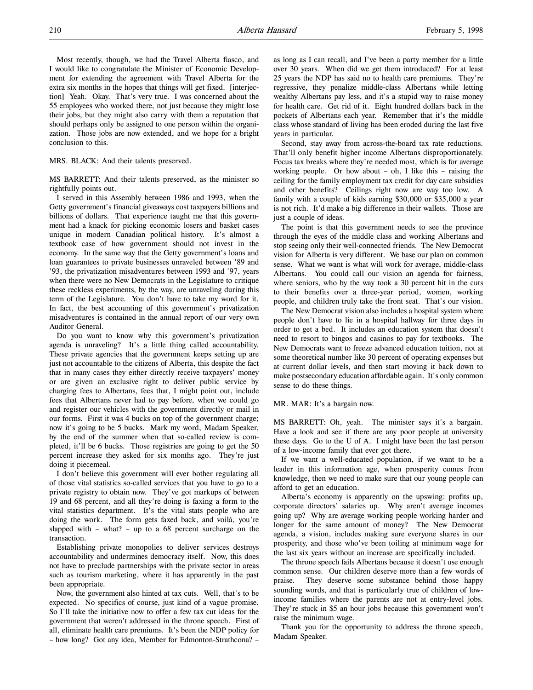Most recently, though, we had the Travel Alberta fiasco, and I would like to congratulate the Minister of Economic Development for extending the agreement with Travel Alberta for the extra six months in the hopes that things will get fixed. [interjection] Yeah. Okay. That's very true. I was concerned about the 55 employees who worked there, not just because they might lose their jobs, but they might also carry with them a reputation that should perhaps only be assigned to one person within the organization. Those jobs are now extended, and we hope for a bright conclusion to this.

#### MRS. BLACK: And their talents preserved.

MS BARRETT: And their talents preserved, as the minister so rightfully points out.

I served in this Assembly between 1986 and 1993, when the Getty government's financial giveaways cost taxpayers billions and billions of dollars. That experience taught me that this government had a knack for picking economic losers and basket cases unique in modern Canadian political history. It's almost a textbook case of how government should not invest in the economy. In the same way that the Getty government's loans and loan guarantees to private businesses unraveled between '89 and '93, the privatization misadventures between 1993 and '97, years when there were no New Democrats in the Legislature to critique these reckless experiments, by the way, are unraveling during this term of the Legislature. You don't have to take my word for it. In fact, the best accounting of this government's privatization misadventures is contained in the annual report of our very own Auditor General.

Do you want to know why this government's privatization agenda is unraveling? It's a little thing called accountability. These private agencies that the government keeps setting up are just not accountable to the citizens of Alberta, this despite the fact that in many cases they either directly receive taxpayers' money or are given an exclusive right to deliver public service by charging fees to Albertans, fees that, I might point out, include fees that Albertans never had to pay before, when we could go and register our vehicles with the government directly or mail in our forms. First it was 4 bucks on top of the government charge; now it's going to be 5 bucks. Mark my word, Madam Speaker, by the end of the summer when that so-called review is completed, it'll be 6 bucks. Those registries are going to get the 50 percent increase they asked for six months ago. They're just doing it piecemeal.

I don't believe this government will ever bother regulating all of those vital statistics so-called services that you have to go to a private registry to obtain now. They've got markups of between 19 and 68 percent, and all they're doing is faxing a form to the vital statistics department. It's the vital stats people who are doing the work. The form gets faxed back, and voilà, you're slapped with – what? – up to a 68 percent surcharge on the transaction.

Establishing private monopolies to deliver services destroys accountability and undermines democracy itself. Now, this does not have to preclude partnerships with the private sector in areas such as tourism marketing, where it has apparently in the past been appropriate.

Now, the government also hinted at tax cuts. Well, that's to be expected. No specifics of course, just kind of a vague promise. So I'll take the initiative now to offer a few tax cut ideas for the government that weren't addressed in the throne speech. First of all, eliminate health care premiums. It's been the NDP policy for – how long? Got any idea, Member for Edmonton-Strathcona? –

as long as I can recall, and I've been a party member for a little over 30 years. When did we get them introduced? For at least 25 years the NDP has said no to health care premiums. They're regressive, they penalize middle-class Albertans while letting wealthy Albertans pay less, and it's a stupid way to raise money for health care. Get rid of it. Eight hundred dollars back in the pockets of Albertans each year. Remember that it's the middle class whose standard of living has been eroded during the last five years in particular.

Second, stay away from across-the-board tax rate reductions. That'll only benefit higher income Albertans disproportionately. Focus tax breaks where they're needed most, which is for average working people. Or how about – oh, I like this – raising the ceiling for the family employment tax credit for day care subsidies and other benefits? Ceilings right now are way too low. A family with a couple of kids earning \$30,000 or \$35,000 a year is not rich. It'd make a big difference in their wallets. Those are just a couple of ideas.

The point is that this government needs to see the province through the eyes of the middle class and working Albertans and stop seeing only their well-connected friends. The New Democrat vision for Alberta is very different. We base our plan on common sense. What we want is what will work for average, middle-class Albertans. You could call our vision an agenda for fairness, where seniors, who by the way took a 30 percent hit in the cuts to their benefits over a three-year period, women, working people, and children truly take the front seat. That's our vision.

The New Democrat vision also includes a hospital system where people don't have to lie in a hospital hallway for three days in order to get a bed. It includes an education system that doesn't need to resort to bingos and casinos to pay for textbooks. The New Democrats want to freeze advanced education tuition, not at some theoretical number like 30 percent of operating expenses but at current dollar levels, and then start moving it back down to make postsecondary education affordable again. It's only common sense to do these things.

#### MR. MAR: It's a bargain now.

MS BARRETT: Oh, yeah. The minister says it's a bargain. Have a look and see if there are any poor people at university these days. Go to the U of A. I might have been the last person of a low-income family that ever got there.

If we want a well-educated population, if we want to be a leader in this information age, when prosperity comes from knowledge, then we need to make sure that our young people can afford to get an education.

Alberta's economy is apparently on the upswing: profits up, corporate directors' salaries up. Why aren't average incomes going up? Why are average working people working harder and longer for the same amount of money? The New Democrat agenda, a vision, includes making sure everyone shares in our prosperity, and those who've been toiling at minimum wage for the last six years without an increase are specifically included.

The throne speech fails Albertans because it doesn't use enough common sense. Our children deserve more than a few words of praise. They deserve some substance behind those happy sounding words, and that is particularly true of children of lowincome families where the parents are not at entry-level jobs. They're stuck in \$5 an hour jobs because this government won't raise the minimum wage.

Thank you for the opportunity to address the throne speech, Madam Speaker.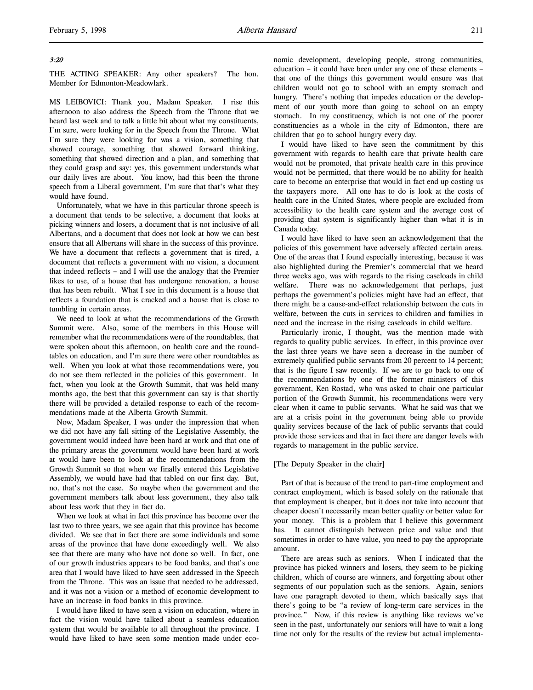## 3:20

THE ACTING SPEAKER: Any other speakers? The hon. Member for Edmonton-Meadowlark.

MS LEIBOVICI: Thank you, Madam Speaker. I rise this afternoon to also address the Speech from the Throne that we heard last week and to talk a little bit about what my constituents, I'm sure, were looking for in the Speech from the Throne. What I'm sure they were looking for was a vision, something that showed courage, something that showed forward thinking, something that showed direction and a plan, and something that they could grasp and say: yes, this government understands what our daily lives are about. You know, had this been the throne speech from a Liberal government, I'm sure that that's what they would have found.

Unfortunately, what we have in this particular throne speech is a document that tends to be selective, a document that looks at picking winners and losers, a document that is not inclusive of all Albertans, and a document that does not look at how we can best ensure that all Albertans will share in the success of this province. We have a document that reflects a government that is tired, a document that reflects a government with no vision, a document that indeed reflects – and I will use the analogy that the Premier likes to use, of a house that has undergone renovation, a house that has been rebuilt. What I see in this document is a house that reflects a foundation that is cracked and a house that is close to tumbling in certain areas.

We need to look at what the recommendations of the Growth Summit were. Also, some of the members in this House will remember what the recommendations were of the roundtables, that were spoken about this afternoon, on health care and the roundtables on education, and I'm sure there were other roundtables as well. When you look at what those recommendations were, you do not see them reflected in the policies of this government. In fact, when you look at the Growth Summit, that was held many months ago, the best that this government can say is that shortly there will be provided a detailed response to each of the recommendations made at the Alberta Growth Summit.

Now, Madam Speaker, I was under the impression that when we did not have any fall sitting of the Legislative Assembly, the government would indeed have been hard at work and that one of the primary areas the government would have been hard at work at would have been to look at the recommendations from the Growth Summit so that when we finally entered this Legislative Assembly, we would have had that tabled on our first day. But, no, that's not the case. So maybe when the government and the government members talk about less government, they also talk about less work that they in fact do.

When we look at what in fact this province has become over the last two to three years, we see again that this province has become divided. We see that in fact there are some individuals and some areas of the province that have done exceedingly well. We also see that there are many who have not done so well. In fact, one of our growth industries appears to be food banks, and that's one area that I would have liked to have seen addressed in the Speech from the Throne. This was an issue that needed to be addressed, and it was not a vision or a method of economic development to have an increase in food banks in this province.

I would have liked to have seen a vision on education, where in fact the vision would have talked about a seamless education system that would be available to all throughout the province. I would have liked to have seen some mention made under economic development, developing people, strong communities, education – it could have been under any one of these elements – that one of the things this government would ensure was that children would not go to school with an empty stomach and hungry. There's nothing that impedes education or the development of our youth more than going to school on an empty stomach. In my constituency, which is not one of the poorer constituencies as a whole in the city of Edmonton, there are children that go to school hungry every day.

I would have liked to have seen the commitment by this government with regards to health care that private health care would not be promoted, that private health care in this province would not be permitted, that there would be no ability for health care to become an enterprise that would in fact end up costing us the taxpayers more. All one has to do is look at the costs of health care in the United States, where people are excluded from accessibility to the health care system and the average cost of providing that system is significantly higher than what it is in Canada today.

I would have liked to have seen an acknowledgement that the policies of this government have adversely affected certain areas. One of the areas that I found especially interesting, because it was also highlighted during the Premier's commercial that we heard three weeks ago, was with regards to the rising caseloads in child welfare. There was no acknowledgement that perhaps, just perhaps the government's policies might have had an effect, that there might be a cause-and-effect relationship between the cuts in welfare, between the cuts in services to children and families in need and the increase in the rising caseloads in child welfare.

Particularly ironic, I thought, was the mention made with regards to quality public services. In effect, in this province over the last three years we have seen a decrease in the number of extremely qualified public servants from 20 percent to 14 percent; that is the figure I saw recently. If we are to go back to one of the recommendations by one of the former ministers of this government, Ken Rostad, who was asked to chair one particular portion of the Growth Summit, his recommendations were very clear when it came to public servants. What he said was that we are at a crisis point in the government being able to provide quality services because of the lack of public servants that could provide those services and that in fact there are danger levels with regards to management in the public service.

#### [The Deputy Speaker in the chair]

Part of that is because of the trend to part-time employment and contract employment, which is based solely on the rationale that that employment is cheaper, but it does not take into account that cheaper doesn't necessarily mean better quality or better value for your money. This is a problem that I believe this government has. It cannot distinguish between price and value and that sometimes in order to have value, you need to pay the appropriate amount.

There are areas such as seniors. When I indicated that the province has picked winners and losers, they seem to be picking children, which of course are winners, and forgetting about other segments of our population such as the seniors. Again, seniors have one paragraph devoted to them, which basically says that there's going to be "a review of long-term care services in the province." Now, if this review is anything like reviews we've seen in the past, unfortunately our seniors will have to wait a long time not only for the results of the review but actual implementa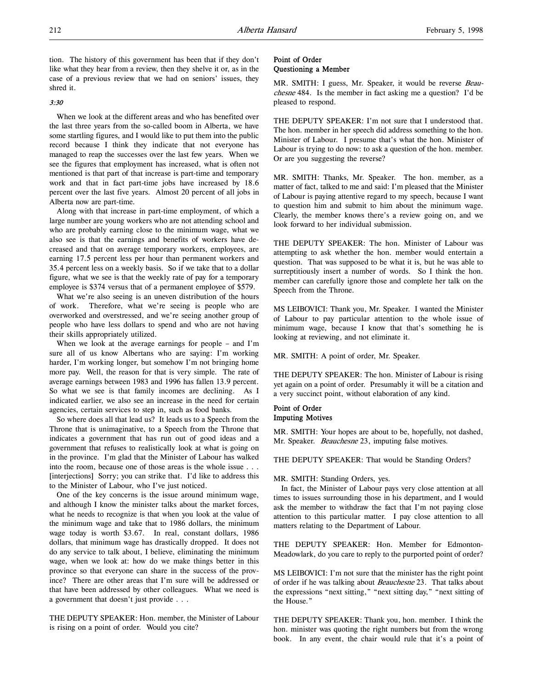tion. The history of this government has been that if they don't like what they hear from a review, then they shelve it or, as in the case of a previous review that we had on seniors' issues, they shred it.

# 3:30

When we look at the different areas and who has benefited over the last three years from the so-called boom in Alberta, we have some startling figures, and I would like to put them into the public record because I think they indicate that not everyone has managed to reap the successes over the last few years. When we see the figures that employment has increased, what is often not mentioned is that part of that increase is part-time and temporary work and that in fact part-time jobs have increased by 18.6 percent over the last five years. Almost 20 percent of all jobs in Alberta now are part-time.

Along with that increase in part-time employment, of which a large number are young workers who are not attending school and who are probably earning close to the minimum wage, what we also see is that the earnings and benefits of workers have decreased and that on average temporary workers, employees, are earning 17.5 percent less per hour than permanent workers and 35.4 percent less on a weekly basis. So if we take that to a dollar figure, what we see is that the weekly rate of pay for a temporary employee is \$374 versus that of a permanent employee of \$579.

What we're also seeing is an uneven distribution of the hours of work. Therefore, what we're seeing is people who are overworked and overstressed, and we're seeing another group of people who have less dollars to spend and who are not having their skills appropriately utilized.

When we look at the average earnings for people – and I'm sure all of us know Albertans who are saying: I'm working harder, I'm working longer, but somehow I'm not bringing home more pay. Well, the reason for that is very simple. The rate of average earnings between 1983 and 1996 has fallen 13.9 percent. So what we see is that family incomes are declining. As I indicated earlier, we also see an increase in the need for certain agencies, certain services to step in, such as food banks.

So where does all that lead us? It leads us to a Speech from the Throne that is unimaginative, to a Speech from the Throne that indicates a government that has run out of good ideas and a government that refuses to realistically look at what is going on in the province. I'm glad that the Minister of Labour has walked into the room, because one of those areas is the whole issue . . . [interjections] Sorry; you can strike that. I'd like to address this to the Minister of Labour, who I've just noticed.

One of the key concerns is the issue around minimum wage, and although I know the minister talks about the market forces, what he needs to recognize is that when you look at the value of the minimum wage and take that to 1986 dollars, the minimum wage today is worth \$3.67. In real, constant dollars, 1986 dollars, that minimum wage has drastically dropped. It does not do any service to talk about, I believe, eliminating the minimum wage, when we look at: how do we make things better in this province so that everyone can share in the success of the province? There are other areas that I'm sure will be addressed or that have been addressed by other colleagues. What we need is a government that doesn't just provide . . .

THE DEPUTY SPEAKER: Hon. member, the Minister of Labour is rising on a point of order. Would you cite?

# Point of Order Questioning a Member

MR. SMITH: I guess, Mr. Speaker, it would be reverse Beauchesne 484. Is the member in fact asking me a question? I'd be pleased to respond.

THE DEPUTY SPEAKER: I'm not sure that I understood that. The hon. member in her speech did address something to the hon. Minister of Labour. I presume that's what the hon. Minister of Labour is trying to do now: to ask a question of the hon. member. Or are you suggesting the reverse?

MR. SMITH: Thanks, Mr. Speaker. The hon. member, as a matter of fact, talked to me and said: I'm pleased that the Minister of Labour is paying attentive regard to my speech, because I want to question him and submit to him about the minimum wage. Clearly, the member knows there's a review going on, and we look forward to her individual submission.

THE DEPUTY SPEAKER: The hon. Minister of Labour was attempting to ask whether the hon. member would entertain a question. That was supposed to be what it is, but he was able to surreptitiously insert a number of words. So I think the hon. member can carefully ignore those and complete her talk on the Speech from the Throne.

MS LEIBOVICI: Thank you, Mr. Speaker. I wanted the Minister of Labour to pay particular attention to the whole issue of minimum wage, because I know that that's something he is looking at reviewing, and not eliminate it.

MR. SMITH: A point of order, Mr. Speaker.

THE DEPUTY SPEAKER: The hon. Minister of Labour is rising yet again on a point of order. Presumably it will be a citation and a very succinct point, without elaboration of any kind.

## Point of Order Imputing Motives

MR. SMITH: Your hopes are about to be, hopefully, not dashed, Mr. Speaker. Beauchesne 23, imputing false motives.

THE DEPUTY SPEAKER: That would be Standing Orders?

#### MR. SMITH: Standing Orders, yes.

In fact, the Minister of Labour pays very close attention at all times to issues surrounding those in his department, and I would ask the member to withdraw the fact that I'm not paying close attention to this particular matter. I pay close attention to all matters relating to the Department of Labour.

THE DEPUTY SPEAKER: Hon. Member for Edmonton-Meadowlark, do you care to reply to the purported point of order?

MS LEIBOVICI: I'm not sure that the minister has the right point of order if he was talking about Beauchesne 23. That talks about the expressions "next sitting," "next sitting day," "next sitting of the House."

THE DEPUTY SPEAKER: Thank you, hon. member. I think the hon. minister was quoting the right numbers but from the wrong book. In any event, the chair would rule that it's a point of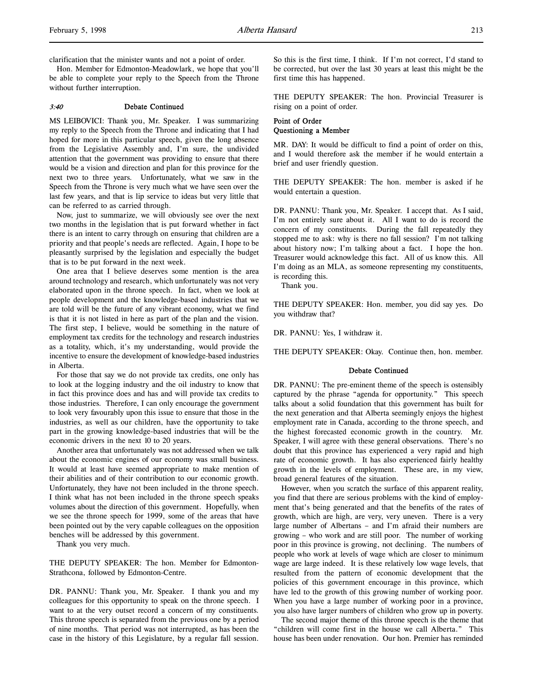clarification that the minister wants and not a point of order.

Hon. Member for Edmonton-Meadowlark, we hope that you'll be able to complete your reply to the Speech from the Throne without further interruption.

#### 3:40 Debate Continued

MS LEIBOVICI: Thank you, Mr. Speaker. I was summarizing my reply to the Speech from the Throne and indicating that I had hoped for more in this particular speech, given the long absence from the Legislative Assembly and, I'm sure, the undivided attention that the government was providing to ensure that there would be a vision and direction and plan for this province for the next two to three years. Unfortunately, what we saw in the Speech from the Throne is very much what we have seen over the last few years, and that is lip service to ideas but very little that can be referred to as carried through.

Now, just to summarize, we will obviously see over the next two months in the legislation that is put forward whether in fact there is an intent to carry through on ensuring that children are a priority and that people's needs are reflected. Again, I hope to be pleasantly surprised by the legislation and especially the budget that is to be put forward in the next week.

One area that I believe deserves some mention is the area around technology and research, which unfortunately was not very elaborated upon in the throne speech. In fact, when we look at people development and the knowledge-based industries that we are told will be the future of any vibrant economy, what we find is that it is not listed in here as part of the plan and the vision. The first step, I believe, would be something in the nature of employment tax credits for the technology and research industries as a totality, which, it's my understanding, would provide the incentive to ensure the development of knowledge-based industries in Alberta.

For those that say we do not provide tax credits, one only has to look at the logging industry and the oil industry to know that in fact this province does and has and will provide tax credits to those industries. Therefore, I can only encourage the government to look very favourably upon this issue to ensure that those in the industries, as well as our children, have the opportunity to take part in the growing knowledge-based industries that will be the economic drivers in the next 10 to 20 years.

Another area that unfortunately was not addressed when we talk about the economic engines of our economy was small business. It would at least have seemed appropriate to make mention of their abilities and of their contribution to our economic growth. Unfortunately, they have not been included in the throne speech. I think what has not been included in the throne speech speaks volumes about the direction of this government. Hopefully, when we see the throne speech for 1999, some of the areas that have been pointed out by the very capable colleagues on the opposition benches will be addressed by this government.

Thank you very much.

THE DEPUTY SPEAKER: The hon. Member for Edmonton-Strathcona, followed by Edmonton-Centre.

DR. PANNU: Thank you, Mr. Speaker. I thank you and my colleagues for this opportunity to speak on the throne speech. I want to at the very outset record a concern of my constituents. This throne speech is separated from the previous one by a period of nine months. That period was not interrupted, as has been the case in the history of this Legislature, by a regular fall session.

So this is the first time, I think. If I'm not correct, I'd stand to be corrected, but over the last 30 years at least this might be the first time this has happened.

THE DEPUTY SPEAKER: The hon. Provincial Treasurer is rising on a point of order.

# Point of Order Questioning a Member

MR. DAY: It would be difficult to find a point of order on this, and I would therefore ask the member if he would entertain a brief and user friendly question.

THE DEPUTY SPEAKER: The hon. member is asked if he would entertain a question.

DR. PANNU: Thank you, Mr. Speaker. I accept that. As I said, I'm not entirely sure about it. All I want to do is record the concern of my constituents. During the fall repeatedly they stopped me to ask: why is there no fall session? I'm not talking about history now; I'm talking about a fact. I hope the hon. Treasurer would acknowledge this fact. All of us know this. All I'm doing as an MLA, as someone representing my constituents, is recording this.

Thank you.

THE DEPUTY SPEAKER: Hon. member, you did say yes. Do you withdraw that?

DR. PANNU: Yes, I withdraw it.

THE DEPUTY SPEAKER: Okay. Continue then, hon. member.

#### Debate Continued

DR. PANNU: The pre-eminent theme of the speech is ostensibly captured by the phrase "agenda for opportunity." This speech talks about a solid foundation that this government has built for the next generation and that Alberta seemingly enjoys the highest employment rate in Canada, according to the throne speech, and the highest forecasted economic growth in the country. Mr. Speaker, I will agree with these general observations. There's no doubt that this province has experienced a very rapid and high rate of economic growth. It has also experienced fairly healthy growth in the levels of employment. These are, in my view, broad general features of the situation.

However, when you scratch the surface of this apparent reality, you find that there are serious problems with the kind of employment that's being generated and that the benefits of the rates of growth, which are high, are very, very uneven. There is a very large number of Albertans – and I'm afraid their numbers are growing – who work and are still poor. The number of working poor in this province is growing, not declining. The numbers of people who work at levels of wage which are closer to minimum wage are large indeed. It is these relatively low wage levels, that resulted from the pattern of economic development that the policies of this government encourage in this province, which have led to the growth of this growing number of working poor. When you have a large number of working poor in a province, you also have larger numbers of children who grow up in poverty.

The second major theme of this throne speech is the theme that "children will come first in the house we call Alberta." This house has been under renovation. Our hon. Premier has reminded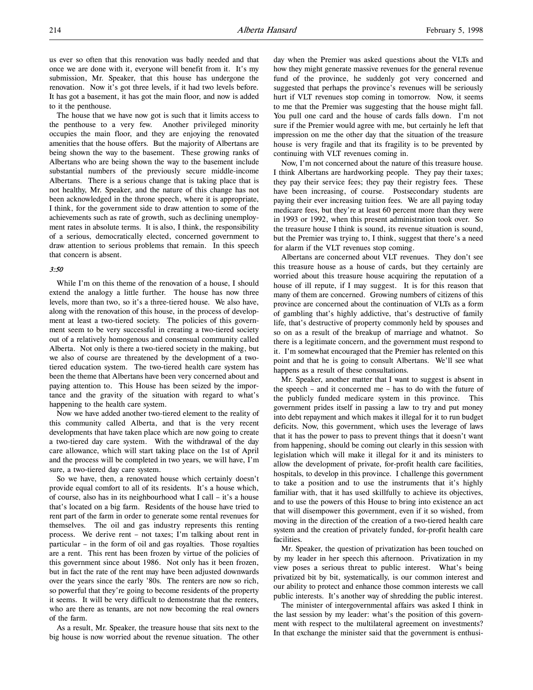us ever so often that this renovation was badly needed and that once we are done with it, everyone will benefit from it. It's my submission, Mr. Speaker, that this house has undergone the renovation. Now it's got three levels, if it had two levels before. It has got a basement, it has got the main floor, and now is added to it the penthouse.

The house that we have now got is such that it limits access to the penthouse to a very few. Another privileged minority occupies the main floor, and they are enjoying the renovated amenities that the house offers. But the majority of Albertans are being shown the way to the basement. These growing ranks of Albertans who are being shown the way to the basement include substantial numbers of the previously secure middle-income Albertans. There is a serious change that is taking place that is not healthy, Mr. Speaker, and the nature of this change has not been acknowledged in the throne speech, where it is appropriate, I think, for the government side to draw attention to some of the achievements such as rate of growth, such as declining unemployment rates in absolute terms. It is also, I think, the responsibility of a serious, democratically elected, concerned government to draw attention to serious problems that remain. In this speech that concern is absent.

#### 3:50

While I'm on this theme of the renovation of a house, I should extend the analogy a little further. The house has now three levels, more than two, so it's a three-tiered house. We also have, along with the renovation of this house, in the process of development at least a two-tiered society. The policies of this government seem to be very successful in creating a two-tiered society out of a relatively homogenous and consensual community called Alberta. Not only is there a two-tiered society in the making, but we also of course are threatened by the development of a twotiered education system. The two-tiered health care system has been the theme that Albertans have been very concerned about and paying attention to. This House has been seized by the importance and the gravity of the situation with regard to what's happening to the health care system.

Now we have added another two-tiered element to the reality of this community called Alberta, and that is the very recent developments that have taken place which are now going to create a two-tiered day care system. With the withdrawal of the day care allowance, which will start taking place on the 1st of April and the process will be completed in two years, we will have, I'm sure, a two-tiered day care system.

So we have, then, a renovated house which certainly doesn't provide equal comfort to all of its residents. It's a house which, of course, also has in its neighbourhood what I call – it's a house that's located on a big farm. Residents of the house have tried to rent part of the farm in order to generate some rental revenues for themselves. The oil and gas industry represents this renting process. We derive rent – not taxes; I'm talking about rent in particular – in the form of oil and gas royalties. Those royalties are a rent. This rent has been frozen by virtue of the policies of this government since about 1986. Not only has it been frozen, but in fact the rate of the rent may have been adjusted downwards over the years since the early '80s. The renters are now so rich, so powerful that they're going to become residents of the property it seems. It will be very difficult to demonstrate that the renters, who are there as tenants, are not now becoming the real owners of the farm.

As a result, Mr. Speaker, the treasure house that sits next to the big house is now worried about the revenue situation. The other

day when the Premier was asked questions about the VLTs and how they might generate massive revenues for the general revenue fund of the province, he suddenly got very concerned and suggested that perhaps the province's revenues will be seriously hurt if VLT revenues stop coming in tomorrow. Now, it seems to me that the Premier was suggesting that the house might fall. You pull one card and the house of cards falls down. I'm not sure if the Premier would agree with me, but certainly he left that impression on me the other day that the situation of the treasure house is very fragile and that its fragility is to be prevented by continuing with VLT revenues coming in.

Now, I'm not concerned about the nature of this treasure house. I think Albertans are hardworking people. They pay their taxes; they pay their service fees; they pay their registry fees. These have been increasing, of course. Postsecondary students are paying their ever increasing tuition fees. We are all paying today medicare fees, but they're at least 60 percent more than they were in 1993 or 1992, when this present administration took over. So the treasure house I think is sound, its revenue situation is sound, but the Premier was trying to, I think, suggest that there's a need for alarm if the VLT revenues stop coming.

Albertans are concerned about VLT revenues. They don't see this treasure house as a house of cards, but they certainly are worried about this treasure house acquiring the reputation of a house of ill repute, if I may suggest. It is for this reason that many of them are concerned. Growing numbers of citizens of this province are concerned about the continuation of VLTs as a form of gambling that's highly addictive, that's destructive of family life, that's destructive of property commonly held by spouses and so on as a result of the breakup of marriage and whatnot. So there is a legitimate concern, and the government must respond to it. I'm somewhat encouraged that the Premier has relented on this point and that he is going to consult Albertans. We'll see what happens as a result of these consultations.

Mr. Speaker, another matter that I want to suggest is absent in the speech – and it concerned me – has to do with the future of the publicly funded medicare system in this province. This government prides itself in passing a law to try and put money into debt repayment and which makes it illegal for it to run budget deficits. Now, this government, which uses the leverage of laws that it has the power to pass to prevent things that it doesn't want from happening, should be coming out clearly in this session with legislation which will make it illegal for it and its ministers to allow the development of private, for-profit health care facilities, hospitals, to develop in this province. I challenge this government to take a position and to use the instruments that it's highly familiar with, that it has used skillfully to achieve its objectives, and to use the powers of this House to bring into existence an act that will disempower this government, even if it so wished, from moving in the direction of the creation of a two-tiered health care system and the creation of privately funded, for-profit health care facilities.

Mr. Speaker, the question of privatization has been touched on by my leader in her speech this afternoon. Privatization in my view poses a serious threat to public interest. What's being privatized bit by bit, systematically, is our common interest and our ability to protect and enhance those common interests we call public interests. It's another way of shredding the public interest.

The minister of intergovernmental affairs was asked I think in the last session by my leader: what's the position of this government with respect to the multilateral agreement on investments? In that exchange the minister said that the government is enthusi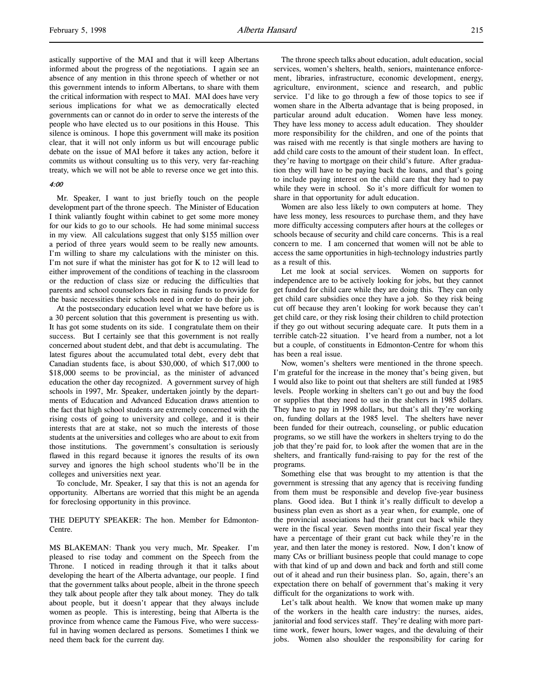astically supportive of the MAI and that it will keep Albertans informed about the progress of the negotiations. I again see an absence of any mention in this throne speech of whether or not this government intends to inform Albertans, to share with them the critical information with respect to MAI. MAI does have very serious implications for what we as democratically elected governments can or cannot do in order to serve the interests of the people who have elected us to our positions in this House. This silence is ominous. I hope this government will make its position clear, that it will not only inform us but will encourage public debate on the issue of MAI before it takes any action, before it commits us without consulting us to this very, very far-reaching treaty, which we will not be able to reverse once we get into this.

#### 4:00

Mr. Speaker, I want to just briefly touch on the people development part of the throne speech. The Minister of Education I think valiantly fought within cabinet to get some more money for our kids to go to our schools. He had some minimal success in my view. All calculations suggest that only \$155 million over a period of three years would seem to be really new amounts. I'm willing to share my calculations with the minister on this. I'm not sure if what the minister has got for K to 12 will lead to either improvement of the conditions of teaching in the classroom or the reduction of class size or reducing the difficulties that parents and school counselors face in raising funds to provide for the basic necessities their schools need in order to do their job.

At the postsecondary education level what we have before us is a 30 percent solution that this government is presenting us with. It has got some students on its side. I congratulate them on their success. But I certainly see that this government is not really concerned about student debt, and that debt is accumulating. The latest figures about the accumulated total debt, every debt that Canadian students face, is about \$30,000, of which \$17,000 to \$18,000 seems to be provincial, as the minister of advanced education the other day recognized. A government survey of high schools in 1997, Mr. Speaker, undertaken jointly by the departments of Education and Advanced Education draws attention to the fact that high school students are extremely concerned with the rising costs of going to university and college, and it is their interests that are at stake, not so much the interests of those students at the universities and colleges who are about to exit from those institutions. The government's consultation is seriously flawed in this regard because it ignores the results of its own survey and ignores the high school students who'll be in the colleges and universities next year.

To conclude, Mr. Speaker, I say that this is not an agenda for opportunity. Albertans are worried that this might be an agenda for foreclosing opportunity in this province.

THE DEPUTY SPEAKER: The hon. Member for Edmonton-Centre.

MS BLAKEMAN: Thank you very much, Mr. Speaker. I'm pleased to rise today and comment on the Speech from the Throne. I noticed in reading through it that it talks about developing the heart of the Alberta advantage, our people. I find that the government talks about people, albeit in the throne speech they talk about people after they talk about money. They do talk about people, but it doesn't appear that they always include women as people. This is interesting, being that Alberta is the province from whence came the Famous Five, who were successful in having women declared as persons. Sometimes I think we need them back for the current day.

The throne speech talks about education, adult education, social services, women's shelters, health, seniors, maintenance enforcement, libraries, infrastructure, economic development, energy, agriculture, environment, science and research, and public service. I'd like to go through a few of those topics to see if women share in the Alberta advantage that is being proposed, in particular around adult education. Women have less money. They have less money to access adult education. They shoulder more responsibility for the children, and one of the points that was raised with me recently is that single mothers are having to add child care costs to the amount of their student loan. In effect, they're having to mortgage on their child's future. After graduation they will have to be paying back the loans, and that's going to include paying interest on the child care that they had to pay while they were in school. So it's more difficult for women to share in that opportunity for adult education.

Women are also less likely to own computers at home. They have less money, less resources to purchase them, and they have more difficulty accessing computers after hours at the colleges or schools because of security and child care concerns. This is a real concern to me. I am concerned that women will not be able to access the same opportunities in high-technology industries partly as a result of this.

Let me look at social services. Women on supports for independence are to be actively looking for jobs, but they cannot get funded for child care while they are doing this. They can only get child care subsidies once they have a job. So they risk being cut off because they aren't looking for work because they can't get child care, or they risk losing their children to child protection if they go out without securing adequate care. It puts them in a terrible catch-22 situation. I've heard from a number, not a lot but a couple, of constituents in Edmonton-Centre for whom this has been a real issue.

Now, women's shelters were mentioned in the throne speech. I'm grateful for the increase in the money that's being given, but I would also like to point out that shelters are still funded at 1985 levels. People working in shelters can't go out and buy the food or supplies that they need to use in the shelters in 1985 dollars. They have to pay in 1998 dollars, but that's all they're working on, funding dollars at the 1985 level. The shelters have never been funded for their outreach, counseling, or public education programs, so we still have the workers in shelters trying to do the job that they're paid for, to look after the women that are in the shelters, and frantically fund-raising to pay for the rest of the programs.

Something else that was brought to my attention is that the government is stressing that any agency that is receiving funding from them must be responsible and develop five-year business plans. Good idea. But I think it's really difficult to develop a business plan even as short as a year when, for example, one of the provincial associations had their grant cut back while they were in the fiscal year. Seven months into their fiscal year they have a percentage of their grant cut back while they're in the year, and then later the money is restored. Now, I don't know of many CAs or brilliant business people that could manage to cope with that kind of up and down and back and forth and still come out of it ahead and run their business plan. So, again, there's an expectation there on behalf of government that's making it very difficult for the organizations to work with.

Let's talk about health. We know that women make up many of the workers in the health care industry: the nurses, aides, janitorial and food services staff. They're dealing with more parttime work, fewer hours, lower wages, and the devaluing of their jobs. Women also shoulder the responsibility for caring for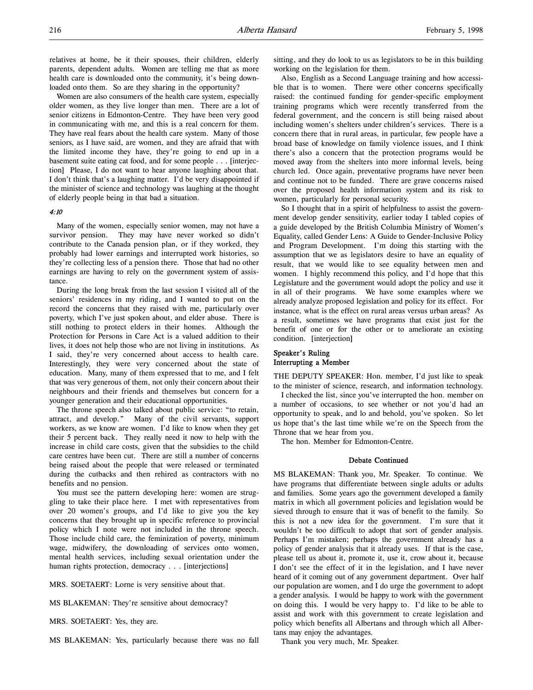relatives at home, be it their spouses, their children, elderly parents, dependent adults. Women are telling me that as more health care is downloaded onto the community, it's being downloaded onto them. So are they sharing in the opportunity?

Women are also consumers of the health care system, especially older women, as they live longer than men. There are a lot of senior citizens in Edmonton-Centre. They have been very good in communicating with me, and this is a real concern for them. They have real fears about the health care system. Many of those seniors, as I have said, are women, and they are afraid that with the limited income they have, they're going to end up in a basement suite eating cat food, and for some people . . . [interjection] Please, I do not want to hear anyone laughing about that. I don't think that's a laughing matter. I'd be very disappointed if the minister of science and technology was laughing at the thought of elderly people being in that bad a situation.

#### 4:10

Many of the women, especially senior women, may not have a survivor pension. They may have never worked so didn't contribute to the Canada pension plan, or if they worked, they probably had lower earnings and interrupted work histories, so they're collecting less of a pension there. Those that had no other earnings are having to rely on the government system of assistance.

During the long break from the last session I visited all of the seniors' residences in my riding, and I wanted to put on the record the concerns that they raised with me, particularly over poverty, which I've just spoken about, and elder abuse. There is still nothing to protect elders in their homes. Although the Protection for Persons in Care Act is a valued addition to their lives, it does not help those who are not living in institutions. As I said, they're very concerned about access to health care. Interestingly, they were very concerned about the state of education. Many, many of them expressed that to me, and I felt that was very generous of them, not only their concern about their neighbours and their friends and themselves but concern for a younger generation and their educational opportunities.

The throne speech also talked about public service: "to retain, attract, and develop." Many of the civil servants, support workers, as we know are women. I'd like to know when they get their 5 percent back. They really need it now to help with the increase in child care costs, given that the subsidies to the child care centres have been cut. There are still a number of concerns being raised about the people that were released or terminated during the cutbacks and then rehired as contractors with no benefits and no pension.

You must see the pattern developing here: women are struggling to take their place here. I met with representatives from over 20 women's groups, and I'd like to give you the key concerns that they brought up in specific reference to provincial policy which I note were not included in the throne speech. Those include child care, the feminization of poverty, minimum wage, midwifery, the downloading of services onto women, mental health services, including sexual orientation under the human rights protection, democracy . . . [interjections]

MRS. SOETAERT: Lorne is very sensitive about that.

MS BLAKEMAN: They're sensitive about democracy?

MRS. SOETAERT: Yes, they are.

MS BLAKEMAN: Yes, particularly because there was no fall

sitting, and they do look to us as legislators to be in this building working on the legislation for them.

Also, English as a Second Language training and how accessible that is to women. There were other concerns specifically raised: the continued funding for gender-specific employment training programs which were recently transferred from the federal government, and the concern is still being raised about including women's shelters under children's services. There is a concern there that in rural areas, in particular, few people have a broad base of knowledge on family violence issues, and I think there's also a concern that the protection programs would be moved away from the shelters into more informal levels, being church led. Once again, preventative programs have never been and continue not to be funded. There are grave concerns raised over the proposed health information system and its risk to women, particularly for personal security.

So I thought that in a spirit of helpfulness to assist the government develop gender sensitivity, earlier today I tabled copies of a guide developed by the British Columbia Ministry of Women's Equality, called Gender Lens: A Guide to Gender-Inclusive Policy and Program Development. I'm doing this starting with the assumption that we as legislators desire to have an equality of result, that we would like to see equality between men and women. I highly recommend this policy, and I'd hope that this Legislature and the government would adopt the policy and use it in all of their programs. We have some examples where we already analyze proposed legislation and policy for its effect. For instance, what is the effect on rural areas versus urban areas? As a result, sometimes we have programs that exist just for the benefit of one or for the other or to ameliorate an existing condition. [interjection]

# Speaker's Ruling Interrupting a Member

THE DEPUTY SPEAKER: Hon. member, I'd just like to speak to the minister of science, research, and information technology.

I checked the list, since you've interrupted the hon. member on a number of occasions, to see whether or not you'd had an opportunity to speak, and lo and behold, you've spoken. So let us hope that's the last time while we're on the Speech from the Throne that we hear from you.

The hon. Member for Edmonton-Centre.

#### Debate Continued

MS BLAKEMAN: Thank you, Mr. Speaker. To continue. We have programs that differentiate between single adults or adults and families. Some years ago the government developed a family matrix in which all government policies and legislation would be sieved through to ensure that it was of benefit to the family. So this is not a new idea for the government. I'm sure that it wouldn't be too difficult to adopt that sort of gender analysis. Perhaps I'm mistaken; perhaps the government already has a policy of gender analysis that it already uses. If that is the case, please tell us about it, promote it, use it, crow about it, because I don't see the effect of it in the legislation, and I have never heard of it coming out of any government department. Over half our population are women, and I do urge the government to adopt a gender analysis. I would be happy to work with the government on doing this. I would be very happy to. I'd like to be able to assist and work with this government to create legislation and policy which benefits all Albertans and through which all Albertans may enjoy the advantages.

Thank you very much, Mr. Speaker.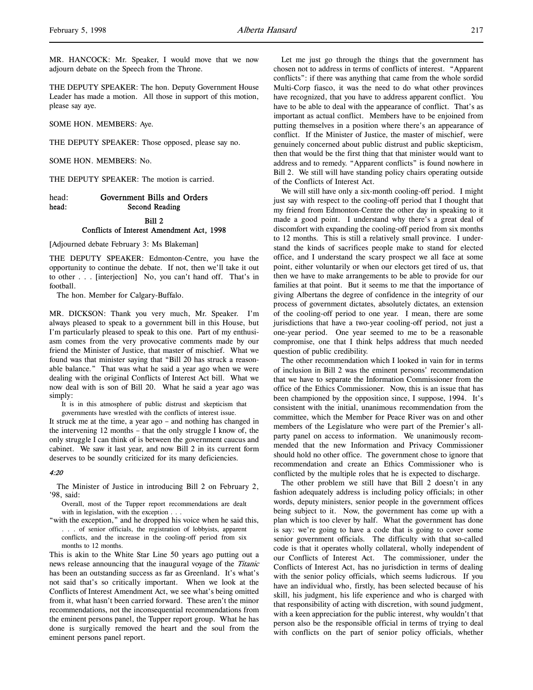MR. HANCOCK: Mr. Speaker, I would move that we now adjourn debate on the Speech from the Throne.

THE DEPUTY SPEAKER: The hon. Deputy Government House Leader has made a motion. All those in support of this motion, please say aye.

SOME HON. MEMBERS: Aye.

THE DEPUTY SPEAKER: Those opposed, please say no.

SOME HON. MEMBERS: No.

THE DEPUTY SPEAKER: The motion is carried.

# head: Government Bills and Orders head: Second Reading Bill 2 Conflicts of Interest Amendment Act, 1998

[Adjourned debate February 3: Ms Blakeman]

THE DEPUTY SPEAKER: Edmonton-Centre, you have the opportunity to continue the debate. If not, then we'll take it out to other . . . [interjection] No, you can't hand off. That's in football.

The hon. Member for Calgary-Buffalo.

MR. DICKSON: Thank you very much, Mr. Speaker. I'm always pleased to speak to a government bill in this House, but I'm particularly pleased to speak to this one. Part of my enthusiasm comes from the very provocative comments made by our friend the Minister of Justice, that master of mischief. What we found was that minister saying that "Bill 20 has struck a reasonable balance." That was what he said a year ago when we were dealing with the original Conflicts of Interest Act bill. What we now deal with is son of Bill 20. What he said a year ago was simply:

It is in this atmosphere of public distrust and skepticism that governments have wrestled with the conflicts of interest issue.

It struck me at the time, a year ago – and nothing has changed in the intervening 12 months – that the only struggle I know of, the only struggle I can think of is between the government caucus and cabinet. We saw it last year, and now Bill 2 in its current form deserves to be soundly criticized for its many deficiencies.

# 4:20

The Minister of Justice in introducing Bill 2 on February 2, '98, said:

Overall, most of the Tupper report recommendations are dealt with in legislation, with the exception . . .

"with the exception," and he dropped his voice when he said this, . . . of senior officials, the registration of lobbyists, apparent conflicts, and the increase in the cooling-off period from six months to 12 months.

This is akin to the White Star Line 50 years ago putting out a news release announcing that the inaugural voyage of the Titanic has been an outstanding success as far as Greenland. It's what's not said that's so critically important. When we look at the Conflicts of Interest Amendment Act, we see what's being omitted from it, what hasn't been carried forward. These aren't the minor recommendations, not the inconsequential recommendations from the eminent persons panel, the Tupper report group. What he has done is surgically removed the heart and the soul from the eminent persons panel report.

Let me just go through the things that the government has chosen not to address in terms of conflicts of interest. "Apparent conflicts": if there was anything that came from the whole sordid Multi-Corp fiasco, it was the need to do what other provinces have recognized, that you have to address apparent conflict. You have to be able to deal with the appearance of conflict. That's as important as actual conflict. Members have to be enjoined from putting themselves in a position where there's an appearance of conflict. If the Minister of Justice, the master of mischief, were genuinely concerned about public distrust and public skepticism, then that would be the first thing that that minister would want to address and to remedy. "Apparent conflicts" is found nowhere in Bill 2. We still will have standing policy chairs operating outside of the Conflicts of Interest Act.

We will still have only a six-month cooling-off period. I might just say with respect to the cooling-off period that I thought that my friend from Edmonton-Centre the other day in speaking to it made a good point. I understand why there's a great deal of discomfort with expanding the cooling-off period from six months to 12 months. This is still a relatively small province. I understand the kinds of sacrifices people make to stand for elected office, and I understand the scary prospect we all face at some point, either voluntarily or when our electors get tired of us, that then we have to make arrangements to be able to provide for our families at that point. But it seems to me that the importance of giving Albertans the degree of confidence in the integrity of our process of government dictates, absolutely dictates, an extension of the cooling-off period to one year. I mean, there are some jurisdictions that have a two-year cooling-off period, not just a one-year period. One year seemed to me to be a reasonable compromise, one that I think helps address that much needed question of public credibility.

The other recommendation which I looked in vain for in terms of inclusion in Bill 2 was the eminent persons' recommendation that we have to separate the Information Commissioner from the office of the Ethics Commissioner. Now, this is an issue that has been championed by the opposition since, I suppose, 1994. It's consistent with the initial, unanimous recommendation from the committee, which the Member for Peace River was on and other members of the Legislature who were part of the Premier's allparty panel on access to information. We unanimously recommended that the new Information and Privacy Commissioner should hold no other office. The government chose to ignore that recommendation and create an Ethics Commissioner who is conflicted by the multiple roles that he is expected to discharge.

The other problem we still have that Bill 2 doesn't in any fashion adequately address is including policy officials; in other words, deputy ministers, senior people in the government offices being subject to it. Now, the government has come up with a plan which is too clever by half. What the government has done is say: we're going to have a code that is going to cover some senior government officials. The difficulty with that so-called code is that it operates wholly collateral, wholly independent of our Conflicts of Interest Act. The commissioner, under the Conflicts of Interest Act, has no jurisdiction in terms of dealing with the senior policy officials, which seems ludicrous. If you have an individual who, firstly, has been selected because of his skill, his judgment, his life experience and who is charged with that responsibility of acting with discretion, with sound judgment, with a keen appreciation for the public interest, why wouldn't that person also be the responsible official in terms of trying to deal with conflicts on the part of senior policy officials, whether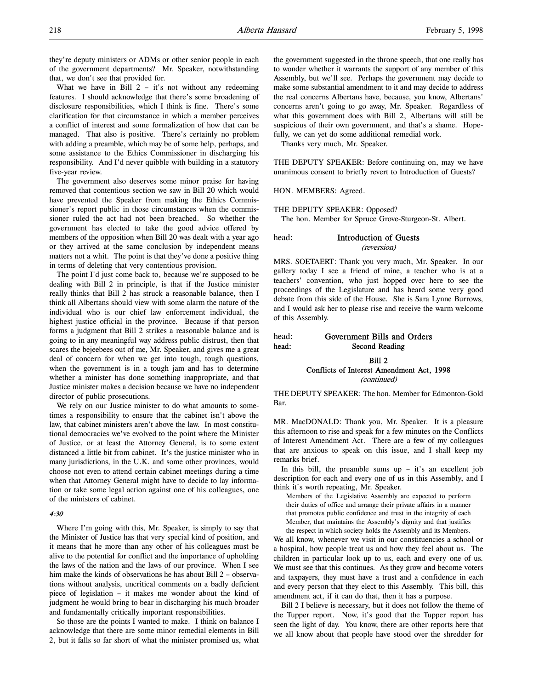they're deputy ministers or ADMs or other senior people in each of the government departments? Mr. Speaker, notwithstanding that, we don't see that provided for.

What we have in Bill  $2 - it's$  not without any redeeming features. I should acknowledge that there's some broadening of disclosure responsibilities, which I think is fine. There's some clarification for that circumstance in which a member perceives a conflict of interest and some formalization of how that can be managed. That also is positive. There's certainly no problem with adding a preamble, which may be of some help, perhaps, and some assistance to the Ethics Commissioner in discharging his responsibility. And I'd never quibble with building in a statutory five-year review.

The government also deserves some minor praise for having removed that contentious section we saw in Bill 20 which would have prevented the Speaker from making the Ethics Commissioner's report public in those circumstances when the commissioner ruled the act had not been breached. So whether the government has elected to take the good advice offered by members of the opposition when Bill 20 was dealt with a year ago or they arrived at the same conclusion by independent means matters not a whit. The point is that they've done a positive thing in terms of deleting that very contentious provision.

The point I'd just come back to, because we're supposed to be dealing with Bill 2 in principle, is that if the Justice minister really thinks that Bill 2 has struck a reasonable balance, then I think all Albertans should view with some alarm the nature of the individual who is our chief law enforcement individual, the highest justice official in the province. Because if that person forms a judgment that Bill 2 strikes a reasonable balance and is going to in any meaningful way address public distrust, then that scares the bejeebees out of me, Mr. Speaker, and gives me a great deal of concern for when we get into tough, tough questions, when the government is in a tough jam and has to determine whether a minister has done something inappropriate, and that Justice minister makes a decision because we have no independent director of public prosecutions.

We rely on our Justice minister to do what amounts to sometimes a responsibility to ensure that the cabinet isn't above the law, that cabinet ministers aren't above the law. In most constitutional democracies we've evolved to the point where the Minister of Justice, or at least the Attorney General, is to some extent distanced a little bit from cabinet. It's the justice minister who in many jurisdictions, in the U.K. and some other provinces, would choose not even to attend certain cabinet meetings during a time when that Attorney General might have to decide to lay information or take some legal action against one of his colleagues, one of the ministers of cabinet.

#### 4:30

Where I'm going with this, Mr. Speaker, is simply to say that the Minister of Justice has that very special kind of position, and it means that he more than any other of his colleagues must be alive to the potential for conflict and the importance of upholding the laws of the nation and the laws of our province. When I see him make the kinds of observations he has about Bill 2 – observations without analysis, uncritical comments on a badly deficient piece of legislation – it makes me wonder about the kind of judgment he would bring to bear in discharging his much broader and fundamentally critically important responsibilities.

So those are the points I wanted to make. I think on balance I acknowledge that there are some minor remedial elements in Bill 2, but it falls so far short of what the minister promised us, what

the government suggested in the throne speech, that one really has to wonder whether it warrants the support of any member of this Assembly, but we'll see. Perhaps the government may decide to make some substantial amendment to it and may decide to address the real concerns Albertans have, because, you know, Albertans' concerns aren't going to go away, Mr. Speaker. Regardless of what this government does with Bill 2, Albertans will still be suspicious of their own government, and that's a shame. Hopefully, we can yet do some additional remedial work.

Thanks very much, Mr. Speaker.

THE DEPUTY SPEAKER: Before continuing on, may we have unanimous consent to briefly revert to Introduction of Guests?

HON. MEMBERS: Agreed.

THE DEPUTY SPEAKER: Opposed?

The hon. Member for Spruce Grove-Sturgeon-St. Albert.

# head: Introduction of Guests (reversion)

MRS. SOETAERT: Thank you very much, Mr. Speaker. In our gallery today I see a friend of mine, a teacher who is at a teachers' convention, who just hopped over here to see the proceedings of the Legislature and has heard some very good debate from this side of the House. She is Sara Lynne Burrows, and I would ask her to please rise and receive the warm welcome of this Assembly.

# head: Government Bills and Orders head: Second Reading

# Bill 2 Conflicts of Interest Amendment Act, 1998

(continued)

THE DEPUTY SPEAKER: The hon. Member for Edmonton-Gold Bar.

MR. MacDONALD: Thank you, Mr. Speaker. It is a pleasure this afternoon to rise and speak for a few minutes on the Conflicts of Interest Amendment Act. There are a few of my colleagues that are anxious to speak on this issue, and I shall keep my remarks brief.

In this bill, the preamble sums  $up - it's$  an excellent job description for each and every one of us in this Assembly, and I think it's worth repeating, Mr. Speaker.

Members of the Legislative Assembly are expected to perform their duties of office and arrange their private affairs in a manner that promotes public confidence and trust in the integrity of each Member, that maintains the Assembly's dignity and that justifies the respect in which society holds the Assembly and its Members.

We all know, whenever we visit in our constituencies a school or a hospital, how people treat us and how they feel about us. The children in particular look up to us, each and every one of us. We must see that this continues. As they grow and become voters and taxpayers, they must have a trust and a confidence in each and every person that they elect to this Assembly. This bill, this amendment act, if it can do that, then it has a purpose.

Bill 2 I believe is necessary, but it does not follow the theme of the Tupper report. Now, it's good that the Tupper report has seen the light of day. You know, there are other reports here that we all know about that people have stood over the shredder for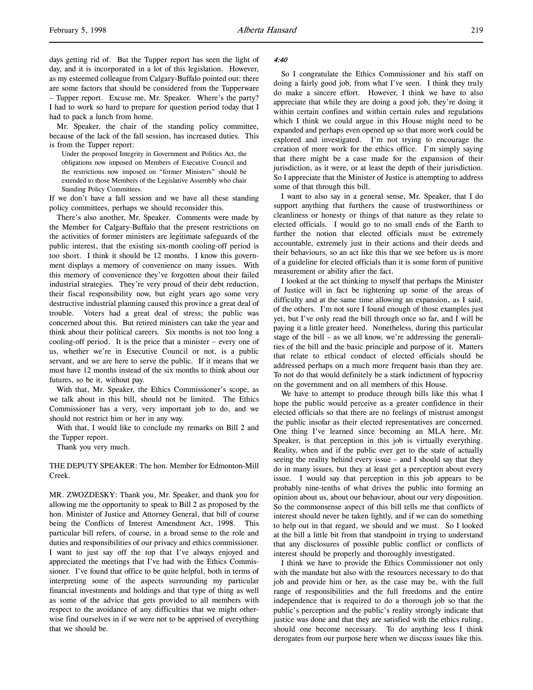days getting rid of. But the Tupper report has seen the light of day, and it is incorporated in a lot of this legislation. However, as my esteemed colleague from Calgary-Buffalo pointed out: there are some factors that should be considered from the Tupperware – Tupper report. Excuse me, Mr. Speaker. Where's the party? I had to work so hard to prepare for question period today that I had to pack a lunch from home.

Mr. Speaker, the chair of the standing policy committee, because of the lack of the fall session, has increased duties. This is from the Tupper report:

Under the proposed Integrity in Government and Politics Act, the obligations now imposed on Members of Executive Council and the restrictions now imposed on "former Ministers" should be extended to those Members of the Legislative Assembly who chair Standing Policy Committees.

If we don't have a fall session and we have all these standing policy committees, perhaps we should reconsider this.

There's also another, Mr. Speaker. Comments were made by the Member for Calgary-Buffalo that the present restrictions on the activities of former ministers are legitimate safeguards of the public interest, that the existing six-month cooling-off period is too short. I think it should be 12 months. I know this government displays a memory of convenience on many issues. With this memory of convenience they've forgotten about their failed industrial strategies. They're very proud of their debt reduction, their fiscal responsibility now, but eight years ago some very destructive industrial planning caused this province a great deal of trouble. Voters had a great deal of stress; the public was concerned about this. But retired ministers can take the year and think about their political careers. Six months is not too long a cooling-off period. It is the price that a minister – every one of us, whether we're in Executive Council or not, is a public servant, and we are here to serve the public. If it means that we must have 12 months instead of the six months to think about our futures, so be it, without pay.

With that, Mr. Speaker, the Ethics Commissioner's scope, as we talk about in this bill, should not be limited. The Ethics Commissioner has a very, very important job to do, and we should not restrict him or her in any way.

With that, I would like to conclude my remarks on Bill 2 and the Tupper report.

Thank you very much.

THE DEPUTY SPEAKER: The hon. Member for Edmonton-Mill Creek.

MR. ZWOZDESKY: Thank you, Mr. Speaker, and thank you for allowing me the opportunity to speak to Bill 2 as proposed by the hon. Minister of Justice and Attorney General, that bill of course being the Conflicts of Interest Amendment Act, 1998. This particular bill refers, of course, in a broad sense to the role and duties and responsibilities of our privacy and ethics commissioner. I want to just say off the top that I've always enjoyed and appreciated the meetings that I've had with the Ethics Commissioner. I've found that office to be quite helpful, both in terms of interpreting some of the aspects surrounding my particular financial investments and holdings and that type of thing as well as some of the advice that gets provided to all members with respect to the avoidance of any difficulties that we might otherwise find ourselves in if we were not to be apprised of everything that we should be.

#### 4:40

So I congratulate the Ethics Commissioner and his staff on doing a fairly good job, from what I've seen. I think they truly do make a sincere effort. However, I think we have to also appreciate that while they are doing a good job, they're doing it within certain confines and within certain rules and regulations which I think we could argue in this House might need to be expanded and perhaps even opened up so that more work could be explored and investigated. I'm not trying to encourage the creation of more work for the ethics office. I'm simply saying that there might be a case made for the expansion of their jurisdiction, as it were, or at least the depth of their jurisdiction. So I appreciate that the Minister of Justice is attempting to address some of that through this bill.

I want to also say in a general sense, Mr. Speaker, that I do support anything that furthers the cause of trustworthiness or cleanliness or honesty or things of that nature as they relate to elected officials. I would go to no small ends of the Earth to further the notion that elected officials must be extremely accountable, extremely just in their actions and their deeds and their behaviours, so an act like this that we see before us is more of a guideline for elected officials than it is some form of punitive measurement or ability after the fact.

I looked at the act thinking to myself that perhaps the Minister of Justice will in fact be tightening up some of the areas of difficulty and at the same time allowing an expansion, as I said, of the others. I'm not sure I found enough of those examples just yet, but I've only read the bill through once so far, and I will be paying it a little greater heed. Nonetheless, during this particular stage of the bill – as we all know, we're addressing the generalities of the bill and the basic principle and purpose of it. Matters that relate to ethical conduct of elected officials should be addressed perhaps on a much more frequent basis than they are. To not do that would definitely be a stark indictment of hypocrisy on the government and on all members of this House.

We have to attempt to produce through bills like this what I hope the public would perceive as a greater confidence in their elected officials so that there are no feelings of mistrust amongst the public insofar as their elected representatives are concerned. One thing I've learned since becoming an MLA here, Mr. Speaker, is that perception in this job is virtually everything. Reality, when and if the public ever get to the state of actually seeing the reality behind every issue – and I should say that they do in many issues, but they at least get a perception about every issue. I would say that perception in this job appears to be probably nine-tenths of what drives the public into forming an opinion about us, about our behaviour, about our very disposition. So the commonsense aspect of this bill tells me that conflicts of interest should never be taken lightly, and if we can do something to help out in that regard, we should and we must. So I looked at the bill a little bit from that standpoint in trying to understand that any disclosures of possible public conflict or conflicts of interest should be properly and thoroughly investigated.

I think we have to provide the Ethics Commissioner not only with the mandate but also with the resources necessary to do that job and provide him or her, as the case may be, with the full range of responsibilities and the full freedoms and the entire independence that is required to do a thorough job so that the public's perception and the public's reality strongly indicate that justice was done and that they are satisfied with the ethics ruling, should one become necessary. To do anything less I think derogates from our purpose here when we discuss issues like this.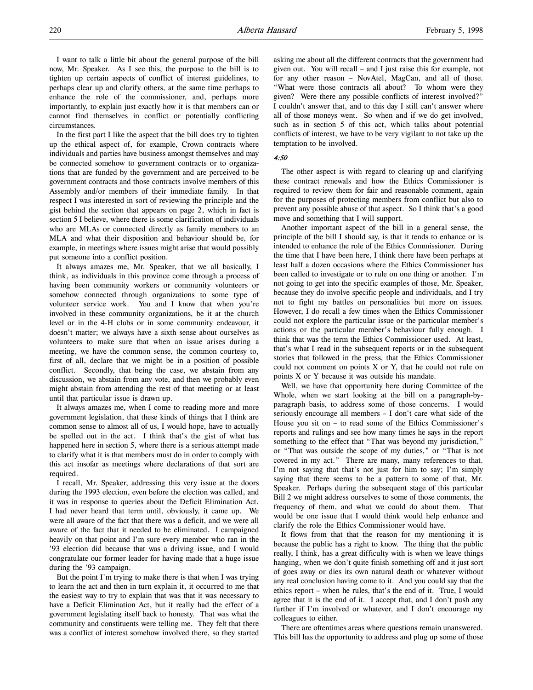I want to talk a little bit about the general purpose of the bill now, Mr. Speaker. As I see this, the purpose to the bill is to tighten up certain aspects of conflict of interest guidelines, to perhaps clear up and clarify others, at the same time perhaps to enhance the role of the commissioner, and, perhaps more importantly, to explain just exactly how it is that members can or cannot find themselves in conflict or potentially conflicting circumstances.

In the first part I like the aspect that the bill does try to tighten up the ethical aspect of, for example, Crown contracts where individuals and parties have business amongst themselves and may be connected somehow to government contracts or to organizations that are funded by the government and are perceived to be government contracts and those contracts involve members of this Assembly and/or members of their immediate family. In that respect I was interested in sort of reviewing the principle and the gist behind the section that appears on page 2, which in fact is section 5 I believe, where there is some clarification of individuals who are MLAs or connected directly as family members to an MLA and what their disposition and behaviour should be, for example, in meetings where issues might arise that would possibly put someone into a conflict position.

It always amazes me, Mr. Speaker, that we all basically, I think, as individuals in this province come through a process of having been community workers or community volunteers or somehow connected through organizations to some type of volunteer service work. You and I know that when you're involved in these community organizations, be it at the church level or in the 4-H clubs or in some community endeavour, it doesn't matter; we always have a sixth sense about ourselves as volunteers to make sure that when an issue arises during a meeting, we have the common sense, the common courtesy to, first of all, declare that we might be in a position of possible conflict. Secondly, that being the case, we abstain from any discussion, we abstain from any vote, and then we probably even might abstain from attending the rest of that meeting or at least until that particular issue is drawn up.

It always amazes me, when I come to reading more and more government legislation, that these kinds of things that I think are common sense to almost all of us, I would hope, have to actually be spelled out in the act. I think that's the gist of what has happened here in section 5, where there is a serious attempt made to clarify what it is that members must do in order to comply with this act insofar as meetings where declarations of that sort are required.

I recall, Mr. Speaker, addressing this very issue at the doors during the 1993 election, even before the election was called, and it was in response to queries about the Deficit Elimination Act. I had never heard that term until, obviously, it came up. We were all aware of the fact that there was a deficit, and we were all aware of the fact that it needed to be eliminated. I campaigned heavily on that point and I'm sure every member who ran in the '93 election did because that was a driving issue, and I would congratulate our former leader for having made that a huge issue during the '93 campaign.

But the point I'm trying to make there is that when I was trying to learn the act and then in turn explain it, it occurred to me that the easiest way to try to explain that was that it was necessary to have a Deficit Elimination Act, but it really had the effect of a government legislating itself back to honesty. That was what the community and constituents were telling me. They felt that there was a conflict of interest somehow involved there, so they started asking me about all the different contracts that the government had given out. You will recall – and I just raise this for example, not for any other reason – NovAtel, MagCan, and all of those. "What were those contracts all about? To whom were they given? Were there any possible conflicts of interest involved?" I couldn't answer that, and to this day I still can't answer where all of those moneys went. So when and if we do get involved, such as in section 5 of this act, which talks about potential conflicts of interest, we have to be very vigilant to not take up the temptation to be involved.

# 4:50

The other aspect is with regard to clearing up and clarifying these contract renewals and how the Ethics Commissioner is required to review them for fair and reasonable comment, again for the purposes of protecting members from conflict but also to prevent any possible abuse of that aspect. So I think that's a good move and something that I will support.

Another important aspect of the bill in a general sense, the principle of the bill I should say, is that it tends to enhance or is intended to enhance the role of the Ethics Commissioner. During the time that I have been here, I think there have been perhaps at least half a dozen occasions where the Ethics Commissioner has been called to investigate or to rule on one thing or another. I'm not going to get into the specific examples of those, Mr. Speaker, because they do involve specific people and individuals, and I try not to fight my battles on personalities but more on issues. However, I do recall a few times when the Ethics Commissioner could not explore the particular issue or the particular member's actions or the particular member's behaviour fully enough. I think that was the term the Ethics Commissioner used. At least, that's what I read in the subsequent reports or in the subsequent stories that followed in the press, that the Ethics Commissioner could not comment on points X or Y, that he could not rule on points X or Y because it was outside his mandate.

Well, we have that opportunity here during Committee of the Whole, when we start looking at the bill on a paragraph-byparagraph basis, to address some of those concerns. I would seriously encourage all members – I don't care what side of the House you sit on – to read some of the Ethics Commissioner's reports and rulings and see how many times he says in the report something to the effect that "That was beyond my jurisdiction," or "That was outside the scope of my duties," or "That is not covered in my act." There are many, many references to that. I'm not saying that that's not just for him to say; I'm simply saying that there seems to be a pattern to some of that, Mr. Speaker. Perhaps during the subsequent stage of this particular Bill 2 we might address ourselves to some of those comments, the frequency of them, and what we could do about them. That would be one issue that I would think would help enhance and clarify the role the Ethics Commissioner would have.

It flows from that that the reason for my mentioning it is because the public has a right to know. The thing that the public really, I think, has a great difficulty with is when we leave things hanging, when we don't quite finish something off and it just sort of goes away or dies its own natural death or whatever without any real conclusion having come to it. And you could say that the ethics report – when he rules, that's the end of it. True, I would agree that it is the end of it. I accept that, and I don't push any further if I'm involved or whatever, and I don't encourage my colleagues to either.

There are oftentimes areas where questions remain unanswered. This bill has the opportunity to address and plug up some of those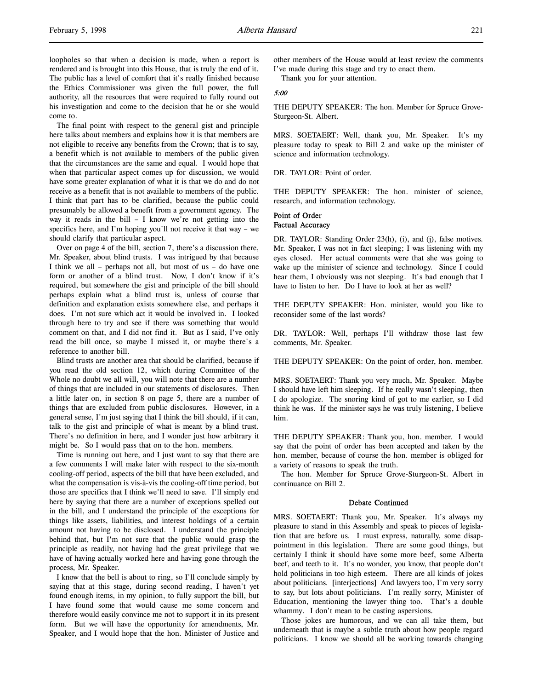loopholes so that when a decision is made, when a report is rendered and is brought into this House, that is truly the end of it. The public has a level of comfort that it's really finished because the Ethics Commissioner was given the full power, the full authority, all the resources that were required to fully round out his investigation and come to the decision that he or she would come to.

The final point with respect to the general gist and principle here talks about members and explains how it is that members are not eligible to receive any benefits from the Crown; that is to say, a benefit which is not available to members of the public given that the circumstances are the same and equal. I would hope that when that particular aspect comes up for discussion, we would have some greater explanation of what it is that we do and do not receive as a benefit that is not available to members of the public. I think that part has to be clarified, because the public could presumably be allowed a benefit from a government agency. The way it reads in the bill – I know we're not getting into the specifics here, and I'm hoping you'll not receive it that way – we should clarify that particular aspect.

Over on page 4 of the bill, section 7, there's a discussion there, Mr. Speaker, about blind trusts. I was intrigued by that because I think we all – perhaps not all, but most of us – do have one form or another of a blind trust. Now, I don't know if it's required, but somewhere the gist and principle of the bill should perhaps explain what a blind trust is, unless of course that definition and explanation exists somewhere else, and perhaps it does. I'm not sure which act it would be involved in. I looked through here to try and see if there was something that would comment on that, and I did not find it. But as I said, I've only read the bill once, so maybe I missed it, or maybe there's a reference to another bill.

Blind trusts are another area that should be clarified, because if you read the old section 12, which during Committee of the Whole no doubt we all will, you will note that there are a number of things that are included in our statements of disclosures. Then a little later on, in section 8 on page 5, there are a number of things that are excluded from public disclosures. However, in a general sense, I'm just saying that I think the bill should, if it can, talk to the gist and principle of what is meant by a blind trust. There's no definition in here, and I wonder just how arbitrary it might be. So I would pass that on to the hon. members.

Time is running out here, and I just want to say that there are a few comments I will make later with respect to the six-month cooling-off period, aspects of the bill that have been excluded, and what the compensation is vis-à-vis the cooling-off time period, but those are specifics that I think we'll need to save. I'll simply end here by saying that there are a number of exceptions spelled out in the bill, and I understand the principle of the exceptions for things like assets, liabilities, and interest holdings of a certain amount not having to be disclosed. I understand the principle behind that, but I'm not sure that the public would grasp the principle as readily, not having had the great privilege that we have of having actually worked here and having gone through the process, Mr. Speaker.

I know that the bell is about to ring, so I'll conclude simply by saying that at this stage, during second reading, I haven't yet found enough items, in my opinion, to fully support the bill, but I have found some that would cause me some concern and therefore would easily convince me not to support it in its present form. But we will have the opportunity for amendments, Mr. Speaker, and I would hope that the hon. Minister of Justice and

other members of the House would at least review the comments I've made during this stage and try to enact them.

Thank you for your attention.

#### 5:00

THE DEPUTY SPEAKER: The hon. Member for Spruce Grove-Sturgeon-St. Albert.

MRS. SOETAERT: Well, thank you, Mr. Speaker. It's my pleasure today to speak to Bill 2 and wake up the minister of science and information technology.

DR. TAYLOR: Point of order.

THE DEPUTY SPEAKER: The hon. minister of science, research, and information technology.

# Point of Order Factual Accuracy

DR. TAYLOR: Standing Order 23(h), (i), and (j), false motives. Mr. Speaker, I was not in fact sleeping; I was listening with my eyes closed. Her actual comments were that she was going to wake up the minister of science and technology. Since I could hear them, I obviously was not sleeping. It's bad enough that I have to listen to her. Do I have to look at her as well?

THE DEPUTY SPEAKER: Hon. minister, would you like to reconsider some of the last words?

DR. TAYLOR: Well, perhaps I'll withdraw those last few comments, Mr. Speaker.

THE DEPUTY SPEAKER: On the point of order, hon. member.

MRS. SOETAERT: Thank you very much, Mr. Speaker. Maybe I should have left him sleeping. If he really wasn't sleeping, then I do apologize. The snoring kind of got to me earlier, so I did think he was. If the minister says he was truly listening, I believe him.

THE DEPUTY SPEAKER: Thank you, hon. member. I would say that the point of order has been accepted and taken by the hon. member, because of course the hon. member is obliged for a variety of reasons to speak the truth.

The hon. Member for Spruce Grove-Sturgeon-St. Albert in continuance on Bill 2.

#### Debate Continued

MRS. SOETAERT: Thank you, Mr. Speaker. It's always my pleasure to stand in this Assembly and speak to pieces of legislation that are before us. I must express, naturally, some disappointment in this legislation. There are some good things, but certainly I think it should have some more beef, some Alberta beef, and teeth to it. It's no wonder, you know, that people don't hold politicians in too high esteem. There are all kinds of jokes about politicians. [interjections] And lawyers too, I'm very sorry to say, but lots about politicians. I'm really sorry, Minister of Education, mentioning the lawyer thing too. That's a double whammy. I don't mean to be casting aspersions.

Those jokes are humorous, and we can all take them, but underneath that is maybe a subtle truth about how people regard politicians. I know we should all be working towards changing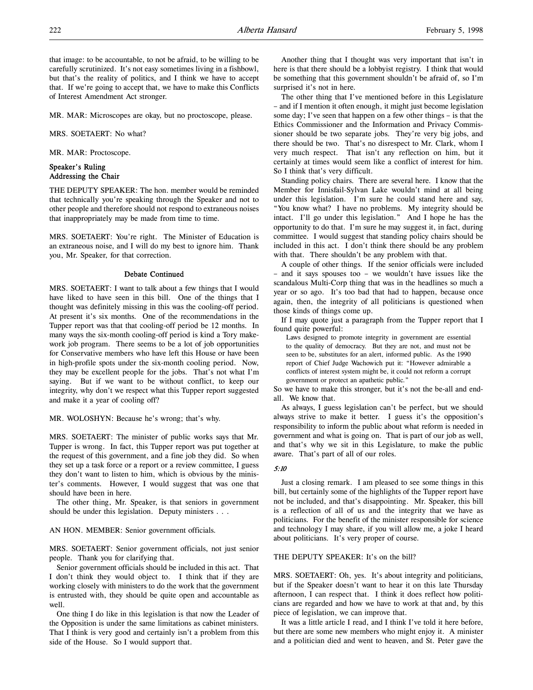that image: to be accountable, to not be afraid, to be willing to be carefully scrutinized. It's not easy sometimes living in a fishbowl, but that's the reality of politics, and I think we have to accept that. If we're going to accept that, we have to make this Conflicts of Interest Amendment Act stronger.

MR. MAR: Microscopes are okay, but no proctoscope, please.

MRS. SOETAERT: No what?

MR. MAR: Proctoscope.

# Speaker's Ruling Addressing the Chair

THE DEPUTY SPEAKER: The hon. member would be reminded that technically you're speaking through the Speaker and not to other people and therefore should not respond to extraneous noises that inappropriately may be made from time to time.

MRS. SOETAERT: You're right. The Minister of Education is an extraneous noise, and I will do my best to ignore him. Thank you, Mr. Speaker, for that correction.

#### Debate Continued

MRS. SOETAERT: I want to talk about a few things that I would have liked to have seen in this bill. One of the things that I thought was definitely missing in this was the cooling-off period. At present it's six months. One of the recommendations in the Tupper report was that that cooling-off period be 12 months. In many ways the six-month cooling-off period is kind a Tory makework job program. There seems to be a lot of job opportunities for Conservative members who have left this House or have been in high-profile spots under the six-month cooling period. Now, they may be excellent people for the jobs. That's not what I'm saying. But if we want to be without conflict, to keep our integrity, why don't we respect what this Tupper report suggested and make it a year of cooling off?

MR. WOLOSHYN: Because he's wrong; that's why.

MRS. SOETAERT: The minister of public works says that Mr. Tupper is wrong. In fact, this Tupper report was put together at the request of this government, and a fine job they did. So when they set up a task force or a report or a review committee, I guess they don't want to listen to him, which is obvious by the minister's comments. However, I would suggest that was one that should have been in here.

The other thing, Mr. Speaker, is that seniors in government should be under this legislation. Deputy ministers . . .

AN HON. MEMBER: Senior government officials.

MRS. SOETAERT: Senior government officials, not just senior people. Thank you for clarifying that.

Senior government officials should be included in this act. That I don't think they would object to. I think that if they are working closely with ministers to do the work that the government is entrusted with, they should be quite open and accountable as well.

One thing I do like in this legislation is that now the Leader of the Opposition is under the same limitations as cabinet ministers. That I think is very good and certainly isn't a problem from this side of the House. So I would support that.

Another thing that I thought was very important that isn't in here is that there should be a lobbyist registry. I think that would be something that this government shouldn't be afraid of, so I'm surprised it's not in here.

The other thing that I've mentioned before in this Legislature – and if I mention it often enough, it might just become legislation some day; I've seen that happen on a few other things – is that the Ethics Commissioner and the Information and Privacy Commissioner should be two separate jobs. They're very big jobs, and there should be two. That's no disrespect to Mr. Clark, whom I very much respect. That isn't any reflection on him, but it certainly at times would seem like a conflict of interest for him. So I think that's very difficult.

Standing policy chairs. There are several here. I know that the Member for Innisfail-Sylvan Lake wouldn't mind at all being under this legislation. I'm sure he could stand here and say, "You know what? I have no problems. My integrity should be intact. I'll go under this legislation." And I hope he has the opportunity to do that. I'm sure he may suggest it, in fact, during committee. I would suggest that standing policy chairs should be included in this act. I don't think there should be any problem with that. There shouldn't be any problem with that.

A couple of other things. If the senior officials were included – and it says spouses too – we wouldn't have issues like the scandalous Multi-Corp thing that was in the headlines so much a year or so ago. It's too bad that had to happen, because once again, then, the integrity of all politicians is questioned when those kinds of things come up.

If I may quote just a paragraph from the Tupper report that I found quite powerful:

Laws designed to promote integrity in government are essential to the quality of democracy. But they are not, and must not be seen to be, substitutes for an alert, informed public. As the 1990 report of Chief Judge Wachowich put it: "However admirable a conflicts of interest system might be, it could not reform a corrupt government or protect an apathetic public."

So we have to make this stronger, but it's not the be-all and endall. We know that.

As always, I guess legislation can't be perfect, but we should always strive to make it better. I guess it's the opposition's responsibility to inform the public about what reform is needed in government and what is going on. That is part of our job as well, and that's why we sit in this Legislature, to make the public aware. That's part of all of our roles.

#### 5:10

Just a closing remark. I am pleased to see some things in this bill, but certainly some of the highlights of the Tupper report have not be included, and that's disappointing. Mr. Speaker, this bill is a reflection of all of us and the integrity that we have as politicians. For the benefit of the minister responsible for science and technology I may share, if you will allow me, a joke I heard about politicians. It's very proper of course.

## THE DEPUTY SPEAKER: It's on the bill?

MRS. SOETAERT: Oh, yes. It's about integrity and politicians, but if the Speaker doesn't want to hear it on this late Thursday afternoon, I can respect that. I think it does reflect how politicians are regarded and how we have to work at that and, by this piece of legislation, we can improve that.

It was a little article I read, and I think I've told it here before, but there are some new members who might enjoy it. A minister and a politician died and went to heaven, and St. Peter gave the